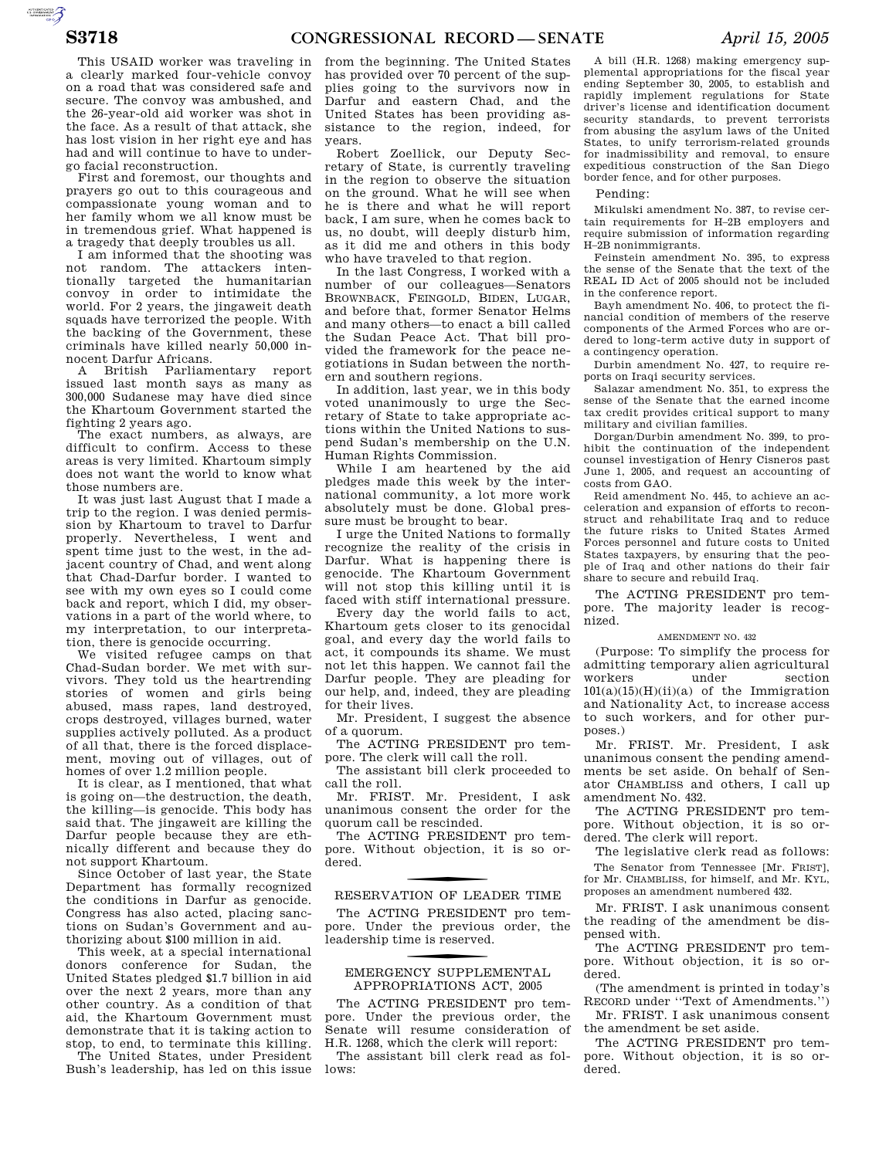AUTOROTOMICALE

This USAID worker was traveling in a clearly marked four-vehicle convoy on a road that was considered safe and secure. The convoy was ambushed, and the 26-year-old aid worker was shot in the face. As a result of that attack, she has lost vision in her right eye and has had and will continue to have to undergo facial reconstruction.

First and foremost, our thoughts and prayers go out to this courageous and compassionate young woman and to her family whom we all know must be in tremendous grief. What happened is a tragedy that deeply troubles us all.

I am informed that the shooting was not random. The attackers intentionally targeted the humanitarian convoy in order to intimidate the world. For 2 years, the jingaweit death squads have terrorized the people. With the backing of the Government, these criminals have killed nearly 50,000 innocent Darfur Africans.

A British Parliamentary report issued last month says as many as 300,000 Sudanese may have died since the Khartoum Government started the fighting 2 years ago.

The exact numbers, as always, are difficult to confirm. Access to these areas is very limited. Khartoum simply does not want the world to know what those numbers are.

It was just last August that I made a trip to the region. I was denied permission by Khartoum to travel to Darfur properly. Nevertheless, I went and spent time just to the west, in the adjacent country of Chad, and went along that Chad-Darfur border. I wanted to see with my own eyes so I could come back and report, which I did, my observations in a part of the world where, to my interpretation, to our interpretation, there is genocide occurring.

We visited refugee camps on that Chad-Sudan border. We met with survivors. They told us the heartrending stories of women and girls being abused, mass rapes, land destroyed, crops destroyed, villages burned, water supplies actively polluted. As a product of all that, there is the forced displacement, moving out of villages, out of homes of over 1.2 million people.

It is clear, as I mentioned, that what is going on—the destruction, the death, the killing—is genocide. This body has said that. The jingaweit are killing the Darfur people because they are ethnically different and because they do not support Khartoum.

Since October of last year, the State Department has formally recognized the conditions in Darfur as genocide. Congress has also acted, placing sanctions on Sudan's Government and authorizing about \$100 million in aid.

This week, at a special international donors conference for Sudan, the United States pledged \$1.7 billion in aid over the next 2 years, more than any other country. As a condition of that aid, the Khartoum Government must demonstrate that it is taking action to stop, to end, to terminate this killing.

The United States, under President Bush's leadership, has led on this issue

from the beginning. The United States has provided over 70 percent of the supplies going to the survivors now in Darfur and eastern Chad, and the United States has been providing assistance to the region, indeed, for years.

Robert Zoellick, our Deputy Secretary of State, is currently traveling in the region to observe the situation on the ground. What he will see when he is there and what he will report back, I am sure, when he comes back to us, no doubt, will deeply disturb him, as it did me and others in this body who have traveled to that region.

In the last Congress, I worked with a number of our colleagues—Senators BROWNBACK, FEINGOLD, BIDEN, LUGAR, and before that, former Senator Helms and many others—to enact a bill called the Sudan Peace Act. That bill provided the framework for the peace negotiations in Sudan between the northern and southern regions.

In addition, last year, we in this body voted unanimously to urge the Secretary of State to take appropriate actions within the United Nations to suspend Sudan's membership on the U.N. Human Rights Commission.

While I am heartened by the aid pledges made this week by the international community, a lot more work absolutely must be done. Global pressure must be brought to bear.

I urge the United Nations to formally recognize the reality of the crisis in Darfur. What is happening there is genocide. The Khartoum Government will not stop this killing until it is faced with stiff international pressure.

Every day the world fails to act, Khartoum gets closer to its genocidal goal, and every day the world fails to act, it compounds its shame. We must not let this happen. We cannot fail the Darfur people. They are pleading for our help, and, indeed, they are pleading for their lives.

Mr. President, I suggest the absence of a quorum.

The ACTING PRESIDENT pro tempore. The clerk will call the roll.

The assistant bill clerk proceeded to call the roll.

Mr. FRIST. Mr. President, I ask unanimous consent the order for the quorum call be rescinded.

The ACTING PRESIDENT pro tempore. Without objection, it is so ordered.

# RESERVATION OF LEADER TIME

The ACTING PRESIDENT pro tempore. Under the previous order, the leadership time is reserved.

## f EMERGENCY SUPPLEMENTAL APPROPRIATIONS ACT, 2005

The ACTING PRESIDENT pro tempore. Under the previous order, the Senate will resume consideration of H.R. 1268, which the clerk will report:

The assistant bill clerk read as follows:

A bill (H.R. 1268) making emergency supplemental appropriations for the fiscal year ending September 30, 2005, to establish and rapidly implement regulations for State driver's license and identification document security standards, to prevent terrorists from abusing the asylum laws of the United States, to unify terrorism-related grounds for inadmissibility and removal, to ensure expeditious construction of the San Diego border fence, and for other purposes.

## Pending:

Mikulski amendment No. 387, to revise certain requirements for H–2B employers and require submission of information regarding H–2B nonimmigrants.

Feinstein amendment No. 395, to express the sense of the Senate that the text of the REAL ID Act of 2005 should not be included in the conference report.

Bayh amendment No. 406, to protect the financial condition of members of the reserve components of the Armed Forces who are ordered to long-term active duty in support of a contingency operation.

Durbin amendment No. 427, to require reports on Iraqi security services.

Salazar amendment No. 351, to express the sense of the Senate that the earned income tax credit provides critical support to many military and civilian families.

Dorgan/Durbin amendment No. 399, to prohibit the continuation of the independent counsel investigation of Henry Cisneros past June 1, 2005, and request an accounting of costs from GAO.

Reid amendment No. 445, to achieve an acceleration and expansion of efforts to reconstruct and rehabilitate Iraq and to reduce the future risks to United States Armed Forces personnel and future costs to United States taxpayers, by ensuring that the people of Iraq and other nations do their fair share to secure and rebuild Iraq.

The ACTING PRESIDENT pro tempore. The majority leader is recognized.

## AMENDMENT NO. 432

(Purpose: To simplify the process for admitting temporary alien agricultural workers under  $101(a)(15)(H)(ii)(a)$  of the Immigration and Nationality Act, to increase access to such workers, and for other purposes.)

Mr. FRIST. Mr. President, I ask unanimous consent the pending amendments be set aside. On behalf of Senator CHAMBLISS and others, I call up amendment No. 432.

The ACTING PRESIDENT pro tempore. Without objection, it is so ordered. The clerk will report.

The legislative clerk read as follows: The Senator from Tennessee [Mr. FRIST], for Mr. CHAMBLISS, for himself, and Mr. KYL, proposes an amendment numbered 432.

Mr. FRIST. I ask unanimous consent the reading of the amendment be dispensed with.

The ACTING PRESIDENT pro tempore. Without objection, it is so ordered.

(The amendment is printed in today's RECORD under ''Text of Amendments.'')

Mr. FRIST. I ask unanimous consent the amendment be set aside.

The ACTING PRESIDENT pro tempore. Without objection, it is so ordered.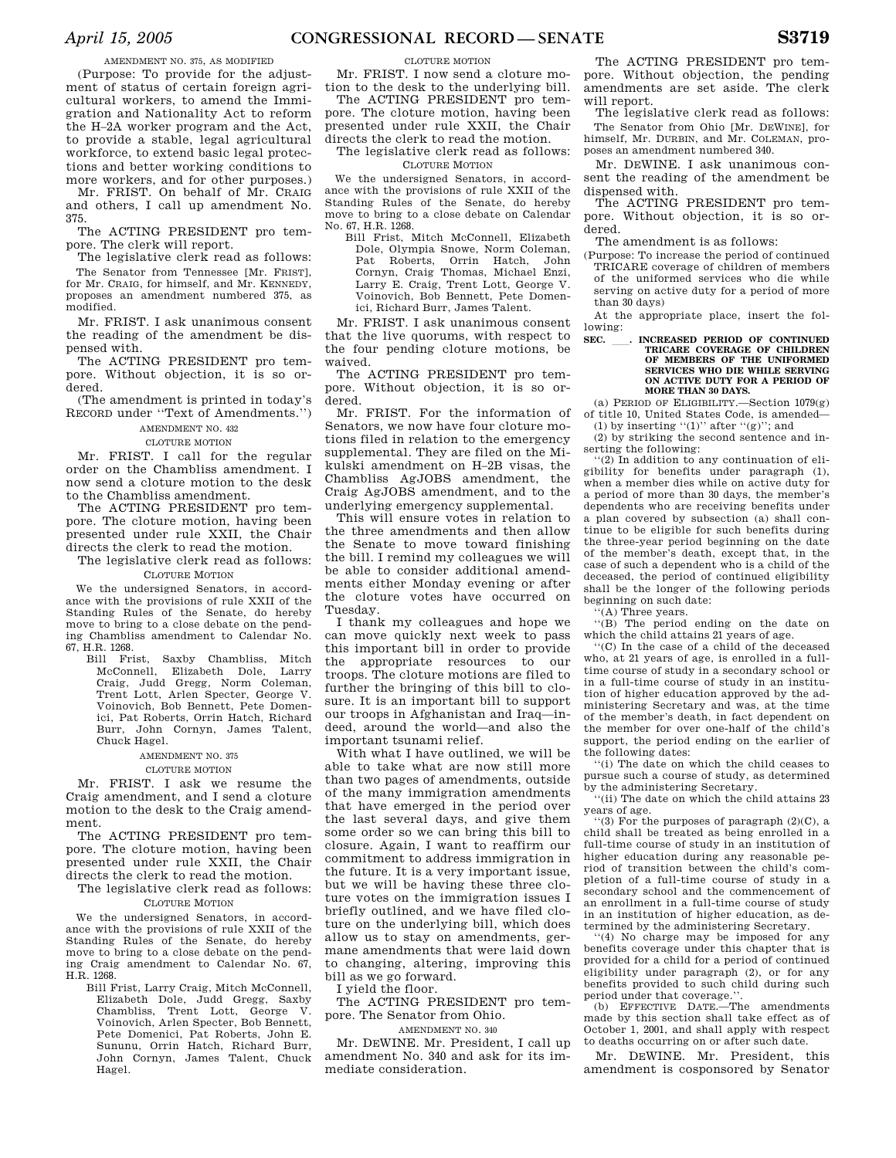## AMENDMENT NO. 375, AS MODIFIED

(Purpose: To provide for the adjustment of status of certain foreign agricultural workers, to amend the Immigration and Nationality Act to reform the H–2A worker program and the Act, to provide a stable, legal agricultural workforce, to extend basic legal protections and better working conditions to more workers, and for other purposes.)

Mr. FRIST. On behalf of Mr. CRAIG and others, I call up amendment No. 375.

The ACTING PRESIDENT pro tempore. The clerk will report.

The legislative clerk read as follows: The Senator from Tennessee [Mr. FRIST], for Mr. CRAIG, for himself, and Mr. KENNEDY, proposes an amendment numbered 375, as modified.

Mr. FRIST. I ask unanimous consent the reading of the amendment be dispensed with.

The ACTING PRESIDENT pro tempore. Without objection, it is so ordered.

(The amendment is printed in today's RECORD under ''Text of Amendments.'')

AMENDMENT NO. 432

#### CLOTURE MOTION

Mr. FRIST. I call for the regular order on the Chambliss amendment. I now send a cloture motion to the desk to the Chambliss amendment.

The ACTING PRESIDENT pro tempore. The cloture motion, having been presented under rule XXII, the Chair directs the clerk to read the motion.

The legislative clerk read as follows: CLOTURE MOTION

We the undersigned Senators, in accordance with the provisions of rule XXII of the Standing Rules of the Senate, do hereby move to bring to a close debate on the pending Chambliss amendment to Calendar No. 67, H.R. 1268.

Bill Frist, Saxby Chambliss, Mitch McConnell, Elizabeth Dole, Larry Craig, Judd Gregg, Norm Coleman, Trent Lott, Arlen Specter, George V. Voinovich, Bob Bennett, Pete Domenici, Pat Roberts, Orrin Hatch, Richard Burr, John Cornyn, James Talent, Chuck Hagel.

## AMENDMENT NO. 375

## CLOTURE MOTION

Mr. FRIST. I ask we resume the Craig amendment, and I send a cloture motion to the desk to the Craig amendment.

The ACTING PRESIDENT pro tempore. The cloture motion, having been presented under rule XXII, the Chair directs the clerk to read the motion.

The legislative clerk read as follows: CLOTURE MOTION

We the undersigned Senators, in accordance with the provisions of rule XXII of the Standing Rules of the Senate, do hereby move to bring to a close debate on the pending Craig amendment to Calendar No. 67, H.R. 1268.

Bill Frist, Larry Craig, Mitch McConnell, Elizabeth Dole, Judd Gregg, Saxby Chambliss, Trent Lott, George V. Voinovich, Arlen Specter, Bob Bennett, Pete Domenici, Pat Roberts, John E. Sununu, Orrin Hatch, Richard Burr, John Cornyn, James Talent, Chuck Hagel.

## CLOTURE MOTION

Mr. FRIST. I now send a cloture motion to the desk to the underlying bill.

The ACTING PRESIDENT pro tempore. The cloture motion, having been presented under rule XXII, the Chair directs the clerk to read the motion.

The legislative clerk read as follows: CLOTURE MOTION

We the undersigned Senators, in accordance with the provisions of rule XXII of the Standing Rules of the Senate, do hereby move to bring to a close debate on Calendar No. 67, H.R. 1268.

Bill Frist, Mitch McConnell, Elizabeth Dole, Olympia Snowe, Norm Coleman, Pat Roberts, Orrin Hatch, John Cornyn, Craig Thomas, Michael Enzi, Larry E. Craig, Trent Lott, George V. Voinovich, Bob Bennett, Pete Domenici, Richard Burr, James Talent.

Mr. FRIST. I ask unanimous consent that the live quorums, with respect to the four pending cloture motions, be waived.

The ACTING PRESIDENT pro tempore. Without objection, it is so ordered.

Mr. FRIST. For the information of Senators, we now have four cloture motions filed in relation to the emergency supplemental. They are filed on the Mikulski amendment on H–2B visas, the Chambliss AgJOBS amendment, the Craig AgJOBS amendment, and to the underlying emergency supplemental.

This will ensure votes in relation to the three amendments and then allow the Senate to move toward finishing the bill. I remind my colleagues we will be able to consider additional amendments either Monday evening or after the cloture votes have occurred on Tuesday.

I thank my colleagues and hope we can move quickly next week to pass this important bill in order to provide the appropriate resources to our troops. The cloture motions are filed to further the bringing of this bill to closure. It is an important bill to support our troops in Afghanistan and Iraq—indeed, around the world—and also the important tsunami relief.

With what I have outlined, we will be able to take what are now still more than two pages of amendments, outside of the many immigration amendments that have emerged in the period over the last several days, and give them some order so we can bring this bill to closure. Again, I want to reaffirm our commitment to address immigration in the future. It is a very important issue, but we will be having these three cloture votes on the immigration issues I briefly outlined, and we have filed cloture on the underlying bill, which does allow us to stay on amendments, germane amendments that were laid down to changing, altering, improving this bill as we go forward.

I yield the floor.

The ACTING PRESIDENT pro tempore. The Senator from Ohio.

AMENDMENT NO. 340

Mr. DEWINE. Mr. President, I call up amendment No. 340 and ask for its immediate consideration.

The ACTING PRESIDENT pro tempore. Without objection, the pending amendments are set aside. The clerk will report.

The legislative clerk read as follows: The Senator from Ohio [Mr. DEWINE], for himself, Mr. DURBIN, and Mr. COLEMAN, proposes an amendment numbered 340.

Mr. DEWINE. I ask unanimous consent the reading of the amendment be dispensed with.

The ACTING PRESIDENT pro tempore. Without objection, it is so ordered.

The amendment is as follows:

(Purpose: To increase the period of continued TRICARE coverage of children of members of the uniformed services who die while serving on active duty for a period of more than 30 days)

At the appropriate place, insert the following:

## **SEC.** ll**. INCREASED PERIOD OF CONTINUED TRICARE COVERAGE OF CHILDREN OF MEMBERS OF THE UNIFORMED SERVICES WHO DIE WHILE SERVING ON ACTIVE DUTY FOR A PERIOD OF MORE THAN 30 DAYS.**

(a) PERIOD OF ELIGIBILITY.—Section 1079(g) of title 10, United States Code, is amended— (1) by inserting "(1)" after " $(g)$ "; and

(2) by striking the second sentence and inserting the following:

 $(2)$  In addition to any continuation of eligibility for benefits under paragraph (1), when a member dies while on active duty for a period of more than 30 days, the member's dependents who are receiving benefits under a plan covered by subsection (a) shall continue to be eligible for such benefits during the three-year period beginning on the date of the member's death, except that, in the case of such a dependent who is a child of the deceased, the period of continued eligibility shall be the longer of the following periods beginning on such date:

'(A) Three years.

''(B) The period ending on the date on which the child attains 21 years of age.

''(C) In the case of a child of the deceased who, at 21 years of age, is enrolled in a fulltime course of study in a secondary school or in a full-time course of study in an institution of higher education approved by the administering Secretary and was, at the time of the member's death, in fact dependent on the member for over one-half of the child's support, the period ending on the earlier of the following dates:

''(i) The date on which the child ceases to pursue such a course of study, as determined by the administering Secretary.

''(ii) The date on which the child attains 23 years of age.

''(3) For the purposes of paragraph (2)(C), a child shall be treated as being enrolled in a full-time course of study in an institution of higher education during any reasonable period of transition between the child's completion of a full-time course of study in a secondary school and the commencement of an enrollment in a full-time course of study in an institution of higher education, as determined by the administering Secretary.

''(4) No charge may be imposed for any benefits coverage under this chapter that is provided for a child for a period of continued eligibility under paragraph (2), or for any benefits provided to such child during such period under that coverage.

(b) EFFECTIVE DATE.—The amendments made by this section shall take effect as of October 1, 2001, and shall apply with respect to deaths occurring on or after such date.

Mr. DEWINE. Mr. President, this amendment is cosponsored by Senator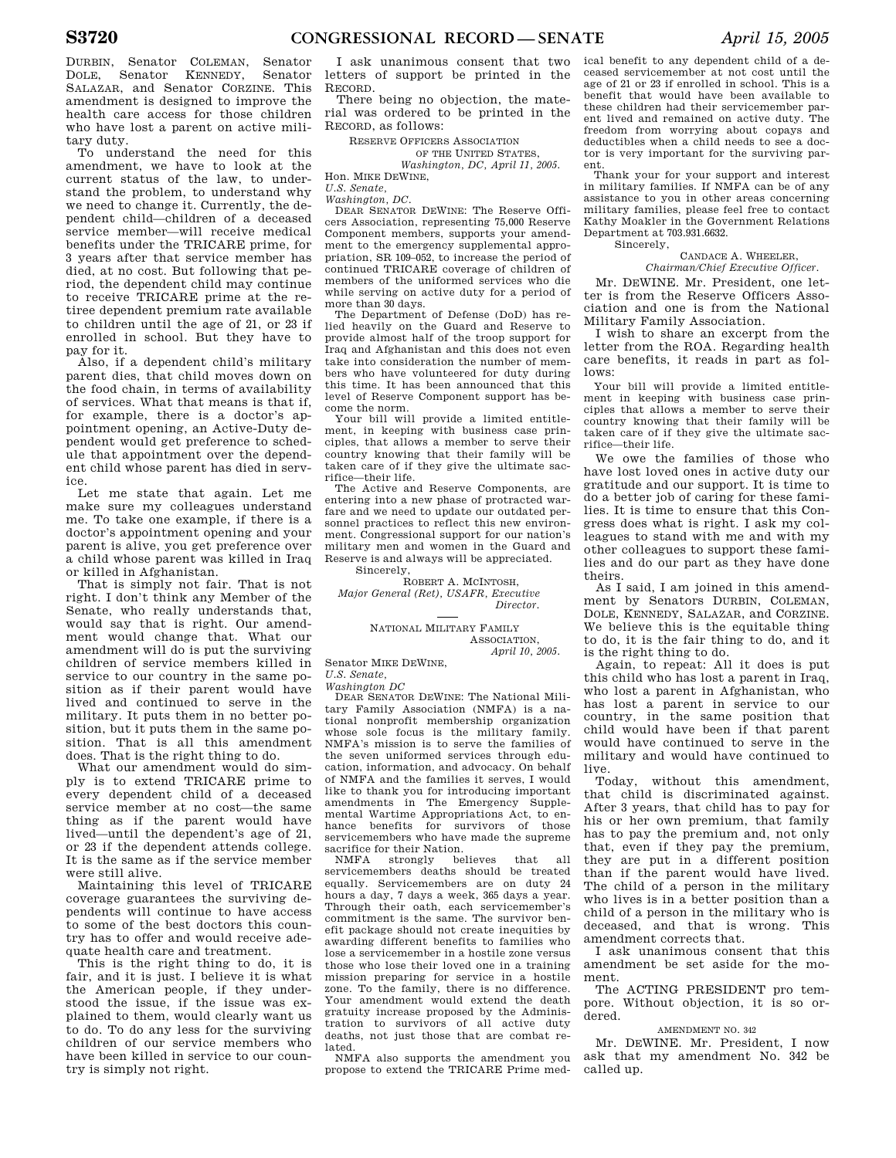DURBIN, Senator COLEMAN, Senator DOLE, Senator KENNEDY, Senator SALAZAR, and Senator CORZINE. This amendment is designed to improve the health care access for those children who have lost a parent on active military duty.

To understand the need for this amendment, we have to look at the current status of the law, to understand the problem, to understand why we need to change it. Currently, the dependent child—children of a deceased service member—will receive medical benefits under the TRICARE prime, for 3 years after that service member has died, at no cost. But following that period, the dependent child may continue to receive TRICARE prime at the retiree dependent premium rate available to children until the age of 21, or 23 if enrolled in school. But they have to pay for it.

Also, if a dependent child's military parent dies, that child moves down on the food chain, in terms of availability of services. What that means is that if, for example, there is a doctor's appointment opening, an Active-Duty dependent would get preference to schedule that appointment over the dependent child whose parent has died in service.

Let me state that again. Let me make sure my colleagues understand me. To take one example, if there is a doctor's appointment opening and your parent is alive, you get preference over a child whose parent was killed in Iraq or killed in Afghanistan.

That is simply not fair. That is not right. I don't think any Member of the Senate, who really understands that, would say that is right. Our amendment would change that. What our amendment will do is put the surviving children of service members killed in service to our country in the same position as if their parent would have lived and continued to serve in the military. It puts them in no better position, but it puts them in the same position. That is all this amendment does. That is the right thing to do.

What our amendment would do simply is to extend TRICARE prime to every dependent child of a deceased service member at no cost—the same thing as if the parent would have lived—until the dependent's age of 21, or 23 if the dependent attends college. It is the same as if the service member were still alive.

Maintaining this level of TRICARE coverage guarantees the surviving dependents will continue to have access to some of the best doctors this country has to offer and would receive adequate health care and treatment.

This is the right thing to do, it is fair, and it is just. I believe it is what the American people, if they understood the issue, if the issue was explained to them, would clearly want us to do. To do any less for the surviving children of our service members who have been killed in service to our country is simply not right.

I ask unanimous consent that two letters of support be printed in the RECORD.

There being no objection, the material was ordered to be printed in the RECORD, as follows:

RESERVE OFFICERS ASSOCIATION

## OF THE UNITED STATES,

*Washington, DC, April 11, 2005.*  Hon. MIKE DEWINE,

## *U.S. Senate, Washington, DC.*

DEAR SENATOR DEWINE: The Reserve Officers Association, representing 75,000 Reserve Component members, supports your amendment to the emergency supplemental appropriation, SR 109–052, to increase the period of continued TRICARE coverage of children of members of the uniformed services who die while serving on active duty for a period of more than 30 days.

The Department of Defense (DoD) has relied heavily on the Guard and Reserve to provide almost half of the troop support for Iraq and Afghanistan and this does not even take into consideration the number of members who have volunteered for duty during this time. It has been announced that this level of Reserve Component support has become the norm.

Your bill will provide a limited entitlement, in keeping with business case principles, that allows a member to serve their country knowing that their family will be taken care of if they give the ultimate sacrifice—their life.

The Active and Reserve Components, are entering into a new phase of protracted warfare and we need to update our outdated personnel practices to reflect this new environment. Congressional support for our nation's military men and women in the Guard and Reserve is and always will be appreciated.

Sincerely,

ROBERT A. MCINTOSH, *Major General (Ret), USAFR, Executive Director.* 

> NATIONAL MILITARY FAMILY ASSOCIATION,

> > *April 10, 2005.*

Senator MIKE DEWINE,

*U.S. Senate,* 

*Washington DC* 

DEAR SENATOR DEWINE: The National Military Family Association (NMFA) is a national nonprofit membership organization whose sole focus is the military family. NMFA's mission is to serve the families of the seven uniformed services through education, information, and advocacy. On behalf of NMFA and the families it serves, I would like to thank you for introducing important<br>amendments in The Emergency Suppleamendments in The Emergency mental Wartime Appropriations Act, to enhance benefits for survivors of those servicemembers who have made the supreme sacrifice for their Nation.<br>NMFA strongly believes

NMFA strongly believes that servicemembers deaths should be treated equally. Servicemembers are on duty 24 hours a day, 7 days a week, 365 days a year. Through their oath, each servicemember's commitment is the same. The survivor benefit package should not create inequities by awarding different benefits to families who lose a servicemember in a hostile zone versus those who lose their loved one in a training mission preparing for service in a hostile zone. To the family, there is no difference. Your amendment would extend the death gratuity increase proposed by the Administration to survivors of all active duty deaths, not just those that are combat related.

NMFA also supports the amendment you propose to extend the TRICARE Prime medical benefit to any dependent child of a deceased servicemember at not cost until the age of 21 or 23 if enrolled in school. This is a benefit that would have been available to these children had their servicemember parent lived and remained on active duty. The freedom from worrying about copays and deductibles when a child needs to see a doctor is very important for the surviving parent.

Thank your for your support and interest in military families. If NMFA can be of any assistance to you in other areas concerning military families, please feel free to contact Kathy Moakler in the Government Relations Department at 703.931.6632. Sincerely,

#### CANDACE A. WHEELER,

*Chairman/Chief Executive Officer.* 

Mr. DEWINE. Mr. President, one letter is from the Reserve Officers Association and one is from the National Military Family Association.

I wish to share an excerpt from the letter from the ROA. Regarding health care benefits, it reads in part as follows:

Your bill will provide a limited entitlement in keeping with business case principles that allows a member to serve their country knowing that their family will be taken care of if they give the ultimate sacrifice—their life.

We owe the families of those who have lost loved ones in active duty our gratitude and our support. It is time to do a better job of caring for these families. It is time to ensure that this Congress does what is right. I ask my colleagues to stand with me and with my other colleagues to support these families and do our part as they have done theirs.

As I said, I am joined in this amendment by Senators DURBIN, COLEMAN, DOLE, KENNEDY, SALAZAR, and CORZINE. We believe this is the equitable thing to do, it is the fair thing to do, and it is the right thing to do.

Again, to repeat: All it does is put this child who has lost a parent in Iraq, who lost a parent in Afghanistan, who has lost a parent in service to our country, in the same position that child would have been if that parent would have continued to serve in the military and would have continued to live.<br>Today

without this amendment, that child is discriminated against. After 3 years, that child has to pay for his or her own premium, that family has to pay the premium and, not only that, even if they pay the premium, they are put in a different position than if the parent would have lived. The child of a person in the military who lives is in a better position than a child of a person in the military who is deceased, and that is wrong. This amendment corrects that.

I ask unanimous consent that this amendment be set aside for the moment.

The ACTING PRESIDENT pro tempore. Without objection, it is so ordered.

## AMENDMENT NO. 342

Mr. DEWINE. Mr. President, I now ask that my amendment No. 342 be called up.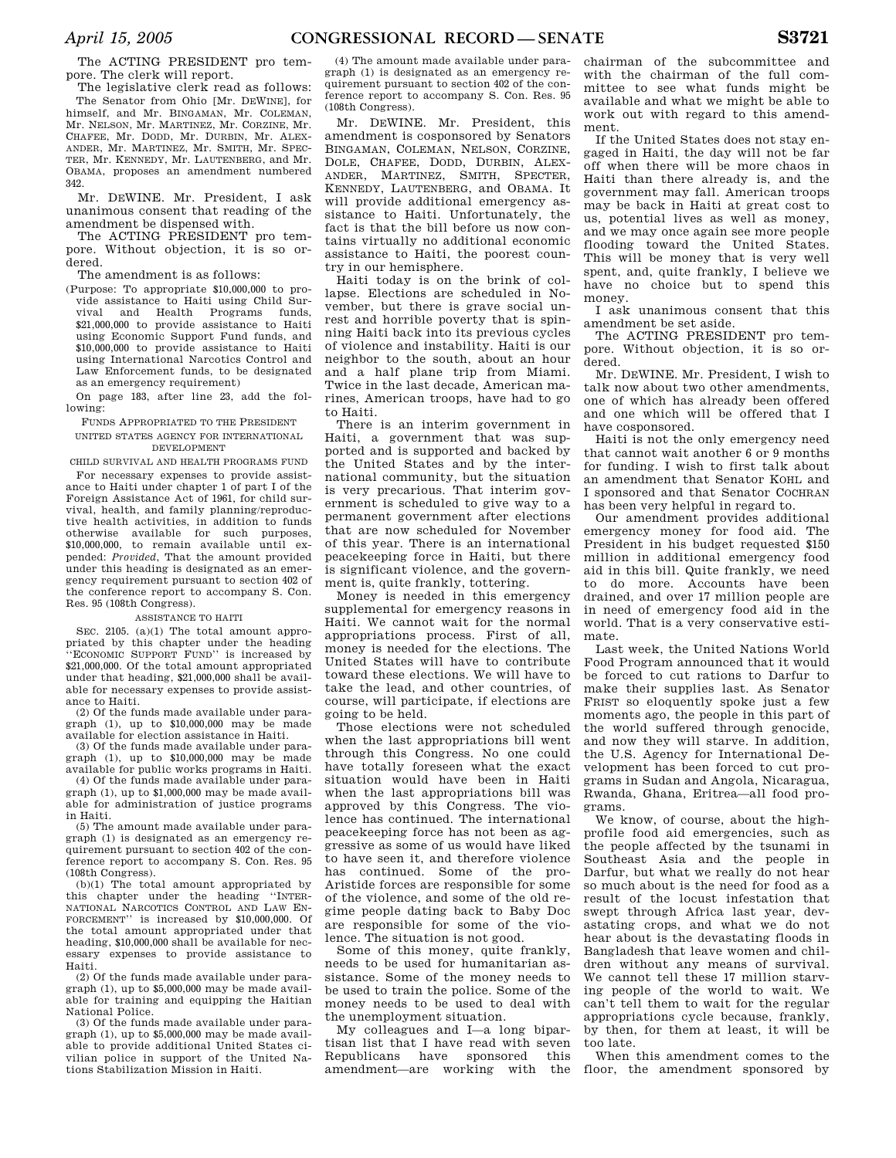The ACTING PRESIDENT pro tempore. The clerk will report.

The legislative clerk read as follows: The Senator from Ohio [Mr. DEWINE], for himself, and Mr. BINGAMAN, Mr. COLEMAN, Mr. NELSON, Mr. MARTINEZ, Mr. CORZINE, Mr. CHAFEE, Mr. DODD, Mr. DURBIN, Mr. ALEX-ANDER, Mr. MARTINEZ, Mr. SMITH, Mr. SPEC-TER, Mr. KENNEDY, Mr. LAUTENBERG, and Mr. OBAMA, proposes an amendment numbered 342.

Mr. DEWINE. Mr. President, I ask unanimous consent that reading of the amendment be dispensed with.

The ACTING PRESIDENT pro tempore. Without objection, it is so ordered.

The amendment is as follows:

(Purpose: To appropriate \$10,000,000 to provide assistance to Haiti using Child Survival and Health Programs funds, \$21,000,000 to provide assistance to Haiti using Economic Support Fund funds, and \$10,000,000 to provide assistance to Haiti using International Narcotics Control and Law Enforcement funds, to be designated as an emergency requirement)

On page 183, after line 23, add the following:

FUNDS APPROPRIATED TO THE PRESIDENT

UNITED STATES AGENCY FOR INTERNATIONAL DEVELOPMENT

CHILD SURVIVAL AND HEALTH PROGRAMS FUND

For necessary expenses to provide assistance to Haiti under chapter 1 of part I of the Foreign Assistance Act of 1961, for child survival, health, and family planning/reproductive health activities, in addition to funds otherwise available for such purposes, \$10,000,000, to remain available until expended: *Provided*, That the amount provided under this heading is designated as an emergency requirement pursuant to section 402 of the conference report to accompany S. Con. Res. 95 (108th Congress).

### ASSISTANCE TO HAITI

SEC. 2105. (a)(1) The total amount appropriated by this chapter under the heading 'ECONOMIC SUPPORT FUND'' is increased by \$21,000,000. Of the total amount appropriated under that heading, \$21,000,000 shall be available for necessary expenses to provide assistance to Haiti.

(2) Of the funds made available under paragraph (1), up to \$10,000,000 may be made available for election assistance in Haiti.

(3) Of the funds made available under paragraph (1), up to \$10,000,000 may be made available for public works programs in Haiti.

(4) Of the funds made available under paragraph (1), up to \$1,000,000 may be made available for administration of justice programs in Haiti.

(5) The amount made available under paragraph (1) is designated as an emergency requirement pursuant to section 402 of the conference report to accompany S. Con. Res. 95 (108th Congress).

(b)(1) The total amount appropriated by this chapter under the heading ''INTER-NATIONAL NARCOTICS CONTROL AND LAW EN-FORCEMENT'' is increased by \$10,000,000. Of the total amount appropriated under that heading, \$10,000,000 shall be available for necessary expenses to provide assistance to Haiti.

(2) Of the funds made available under paragraph (1), up to \$5,000,000 may be made available for training and equipping the Haitian National Police.

(3) Of the funds made available under paragraph (1), up to \$5,000,000 may be made available to provide additional United States civilian police in support of the United Nations Stabilization Mission in Haiti.

(4) The amount made available under paragraph (1) is designated as an emergency requirement pursuant to section 402 of the conference report to accompany S. Con. Res. 95 (108th Congress).

Mr. DEWINE. Mr. President, this amendment is cosponsored by Senators BINGAMAN, COLEMAN, NELSON, CORZINE, DOLE, CHAFEE, DODD, DURBIN, ALEX-ANDER, MARTINEZ, SMITH, SPECTER, KENNEDY, LAUTENBERG, and OBAMA. It will provide additional emergency assistance to Haiti. Unfortunately, the fact is that the bill before us now contains virtually no additional economic assistance to Haiti, the poorest country in our hemisphere.

Haiti today is on the brink of collapse. Elections are scheduled in November, but there is grave social unrest and horrible poverty that is spinning Haiti back into its previous cycles of violence and instability. Haiti is our neighbor to the south, about an hour and a half plane trip from Miami. Twice in the last decade, American marines, American troops, have had to go to Haiti.

There is an interim government in Haiti, a government that was supported and is supported and backed by the United States and by the international community, but the situation is very precarious. That interim government is scheduled to give way to a permanent government after elections that are now scheduled for November of this year. There is an international peacekeeping force in Haiti, but there is significant violence, and the government is, quite frankly, tottering.

Money is needed in this emergency supplemental for emergency reasons in Haiti. We cannot wait for the normal appropriations process. First of all, money is needed for the elections. The United States will have to contribute toward these elections. We will have to take the lead, and other countries, of course, will participate, if elections are going to be held.

Those elections were not scheduled when the last appropriations bill went through this Congress. No one could have totally foreseen what the exact situation would have been in Haiti when the last appropriations bill was approved by this Congress. The violence has continued. The international peacekeeping force has not been as aggressive as some of us would have liked to have seen it, and therefore violence has continued. Some of the pro-Aristide forces are responsible for some of the violence, and some of the old regime people dating back to Baby Doc are responsible for some of the violence. The situation is not good.

Some of this money, quite frankly, needs to be used for humanitarian assistance. Some of the money needs to be used to train the police. Some of the money needs to be used to deal with the unemployment situation.

My colleagues and I—a long bipartisan list that I have read with seven Republicans have sponsored this amendment—are working with the chairman of the subcommittee and with the chairman of the full committee to see what funds might be available and what we might be able to work out with regard to this amendment.

If the United States does not stay engaged in Haiti, the day will not be far off when there will be more chaos in Haiti than there already is, and the government may fall. American troops may be back in Haiti at great cost to us, potential lives as well as money, and we may once again see more people flooding toward the United States. This will be money that is very well spent, and, quite frankly, I believe we have no choice but to spend this money.

I ask unanimous consent that this amendment be set aside.

The ACTING PRESIDENT pro tempore. Without objection, it is so ordered.

Mr. DEWINE. Mr. President, I wish to talk now about two other amendments one of which has already been offered and one which will be offered that I have cosponsored.

Haiti is not the only emergency need that cannot wait another 6 or 9 months for funding. I wish to first talk about an amendment that Senator KOHL and I sponsored and that Senator COCHRAN has been very helpful in regard to.

Our amendment provides additional emergency money for food aid. The President in his budget requested \$150 million in additional emergency food aid in this bill. Quite frankly, we need to do more. Accounts have been drained, and over 17 million people are in need of emergency food aid in the world. That is a very conservative estimate.

Last week, the United Nations World Food Program announced that it would be forced to cut rations to Darfur to make their supplies last. As Senator FRIST so eloquently spoke just a few moments ago, the people in this part of the world suffered through genocide, and now they will starve. In addition, the U.S. Agency for International Development has been forced to cut programs in Sudan and Angola, Nicaragua, Rwanda, Ghana, Eritrea—all food programs.

We know, of course, about the highprofile food aid emergencies, such as the people affected by the tsunami in Southeast Asia and the people in Darfur, but what we really do not hear so much about is the need for food as a result of the locust infestation that swept through Africa last year, devastating crops, and what we do not hear about is the devastating floods in Bangladesh that leave women and children without any means of survival. We cannot tell these 17 million starving people of the world to wait. We can't tell them to wait for the regular appropriations cycle because, frankly, by then, for them at least, it will be too late.

When this amendment comes to the floor, the amendment sponsored by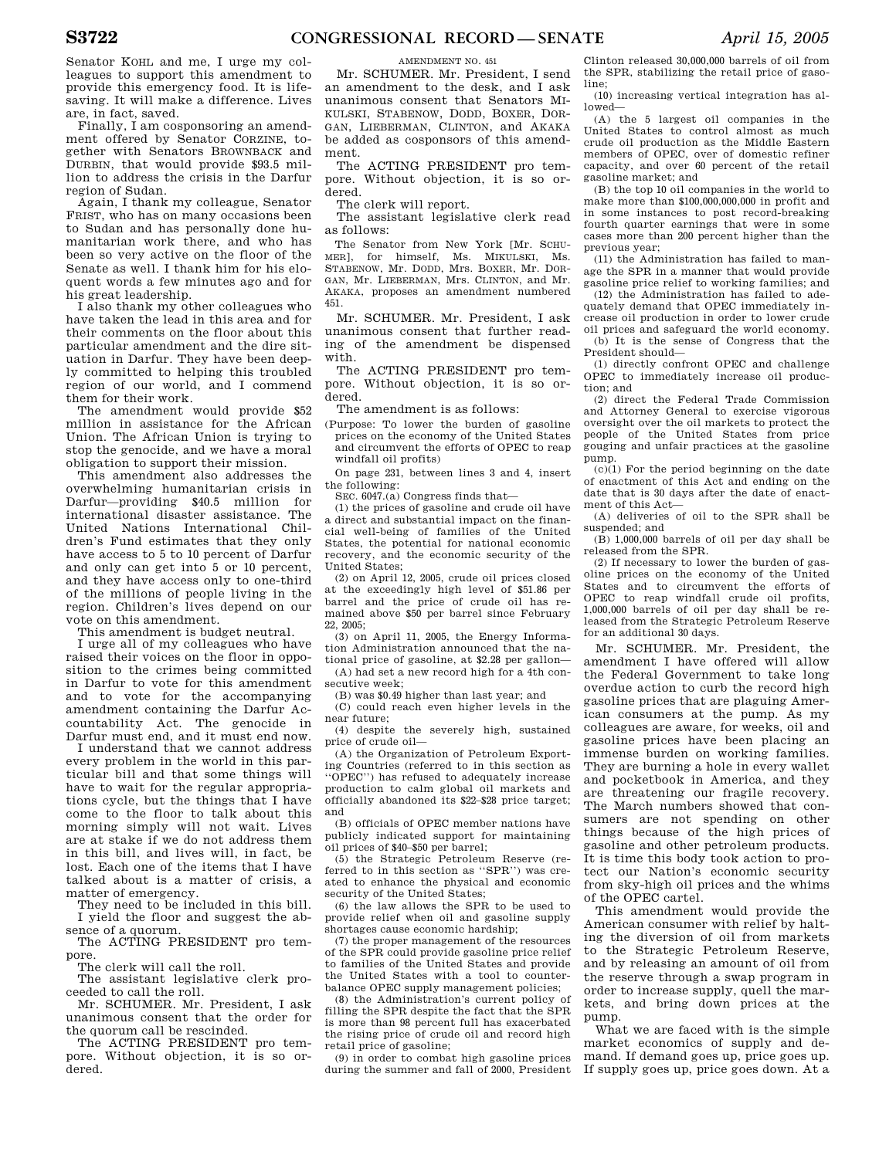Senator KOHL and me, I urge my colleagues to support this amendment to provide this emergency food. It is lifesaving. It will make a difference. Lives are, in fact, saved.

Finally, I am cosponsoring an amendment offered by Senator CORZINE, together with Senators BROWNBACK and DURBIN, that would provide \$93.5 million to address the crisis in the Darfur region of Sudan.

Again, I thank my colleague, Senator FRIST, who has on many occasions been to Sudan and has personally done humanitarian work there, and who has been so very active on the floor of the Senate as well. I thank him for his eloquent words a few minutes ago and for his great leadership.

I also thank my other colleagues who have taken the lead in this area and for their comments on the floor about this particular amendment and the dire situation in Darfur. They have been deeply committed to helping this troubled region of our world, and I commend them for their work.

The amendment would provide \$52 million in assistance for the African Union. The African Union is trying to stop the genocide, and we have a moral obligation to support their mission.

This amendment also addresses the overwhelming humanitarian crisis in Darfur—providing \$40.5 million for international disaster assistance. The United Nations International Children's Fund estimates that they only have access to 5 to 10 percent of Darfur and only can get into 5 or 10 percent, and they have access only to one-third of the millions of people living in the region. Children's lives depend on our vote on this amendment.

This amendment is budget neutral.

I urge all of my colleagues who have raised their voices on the floor in opposition to the crimes being committed in Darfur to vote for this amendment and to vote for the accompanying amendment containing the Darfur Accountability Act. The genocide in Darfur must end, and it must end now.

I understand that we cannot address every problem in the world in this particular bill and that some things will have to wait for the regular appropriations cycle, but the things that I have come to the floor to talk about this morning simply will not wait. Lives are at stake if we do not address them in this bill, and lives will, in fact, be lost. Each one of the items that I have talked about is a matter of crisis, a matter of emergency.

They need to be included in this bill. I yield the floor and suggest the absence of a quorum.

The ACTING PRESIDENT pro tempore.

The clerk will call the roll.

The assistant legislative clerk proceeded to call the roll.

Mr. SCHUMER. Mr. President, I ask unanimous consent that the order for the quorum call be rescinded.

The ACTING PRESIDENT pro tempore. Without objection, it is so ordered.

AMENDMENT NO. 451 Mr. SCHUMER. Mr. President, I send an amendment to the desk, and I ask unanimous consent that Senators MI-KULSKI, STABENOW, DODD, BOXER, DOR-GAN, LIEBERMAN, CLINTON, and AKAKA be added as cosponsors of this amendment.

The ACTING PRESIDENT pro tempore. Without objection, it is so ordered.

The clerk will report.

The assistant legislative clerk read as follows:

The Senator from New York [Mr. SCHU-MER], for himself, Ms. MIKULSKI, Ms. STABENOW, Mr. DODD, Mrs. BOXER, Mr. DOR-GAN, Mr. LIEBERMAN, Mrs. CLINTON, and Mr. AKAKA, proposes an amendment numbered 451.

Mr. SCHUMER. Mr. President, I ask unanimous consent that further reading of the amendment be dispensed with.

The ACTING PRESIDENT pro tempore. Without objection, it is so ordered.

The amendment is as follows:

(Purpose: To lower the burden of gasoline prices on the economy of the United States and circumvent the efforts of OPEC to reap windfall oil profits)

On page 231, between lines 3 and 4, insert the following:

SEC. 6047.(a) Congress finds that—

(1) the prices of gasoline and crude oil have a direct and substantial impact on the financial well-being of families of the United States, the potential for national economic recovery, and the economic security of the United States;

(2) on April 12, 2005, crude oil prices closed at the exceedingly high level of \$51.86 per barrel and the price of crude oil has remained above \$50 per barrel since February 22, 2005;

(3) on April 11, 2005, the Energy Information Administration announced that the national price of gasoline, at \$2.28 per gallon—

(A) had set a new record high for a 4th consecutive week;

(B) was \$0.49 higher than last year; and

(C) could reach even higher levels in the near future;

(4) despite the severely high, sustained price of crude oil—

(A) the Organization of Petroleum Exporting Countries (referred to in this section as ''OPEC'') has refused to adequately increase production to calm global oil markets and officially abandoned its \$22–\$28 price target; and

(B) officials of OPEC member nations have publicly indicated support for maintaining oil prices of \$40–\$50 per barrel;

(5) the Strategic Petroleum Reserve (referred to in this section as ''SPR'') was created to enhance the physical and economic security of the United States;

(6) the law allows the SPR to be used to provide relief when oil and gasoline supply shortages cause economic hardship;

(7) the proper management of the resources of the SPR could provide gasoline price relief to families of the United States and provide the United States with a tool to counterbalance OPEC supply management policies;

(8) the Administration's current policy of filling the SPR despite the fact that the SPR is more than 98 percent full has exacerbated the rising price of crude oil and record high retail price of gasoline;

(9) in order to combat high gasoline prices during the summer and fall of 2000, President

Clinton released 30,000,000 barrels of oil from the SPR, stabilizing the retail price of gasoline;

(10) increasing vertical integration has allowed—

(A) the 5 largest oil companies in the United States to control almost as much crude oil production as the Middle Eastern members of OPEC, over of domestic refiner capacity, and over 60 percent of the retail gasoline market; and

(B) the top 10 oil companies in the world to make more than \$100,000,000,000 in profit and in some instances to post record-breaking fourth quarter earnings that were in some cases more than 200 percent higher than the previous year;

(11) the Administration has failed to manage the SPR in a manner that would provide gasoline price relief to working families; and

(12) the Administration has failed to adequately demand that OPEC immediately increase oil production in order to lower crude oil prices and safeguard the world economy.

(b) It is the sense of Congress that the President should—

(1) directly confront OPEC and challenge OPEC to immediately increase oil production; and

(2) direct the Federal Trade Commission and Attorney General to exercise vigorous oversight over the oil markets to protect the people of the United States from price gouging and unfair practices at the gasoline pump.

 $(c)(1)$  For the period beginning on the date of enactment of this Act and ending on the date that is 30 days after the date of enactment of this Act—

(A) deliveries of oil to the SPR shall be suspended; and

(B) 1,000,000 barrels of oil per day shall be released from the SPR.

(2) If necessary to lower the burden of gasoline prices on the economy of the United States and to circumvent the efforts of OPEC to reap windfall crude oil profits, 1,000,000 barrels of oil per day shall be released from the Strategic Petroleum Reserve for an additional 30 days.

Mr. SCHUMER. Mr. President, the amendment I have offered will allow the Federal Government to take long overdue action to curb the record high gasoline prices that are plaguing American consumers at the pump. As my colleagues are aware, for weeks, oil and gasoline prices have been placing an immense burden on working families. They are burning a hole in every wallet and pocketbook in America, and they are threatening our fragile recovery. The March numbers showed that consumers are not spending on other things because of the high prices of gasoline and other petroleum products. It is time this body took action to protect our Nation's economic security from sky-high oil prices and the whims of the OPEC cartel.

This amendment would provide the American consumer with relief by halting the diversion of oil from markets to the Strategic Petroleum Reserve, and by releasing an amount of oil from the reserve through a swap program in order to increase supply, quell the markets, and bring down prices at the pump.

What we are faced with is the simple market economics of supply and demand. If demand goes up, price goes up. If supply goes up, price goes down. At a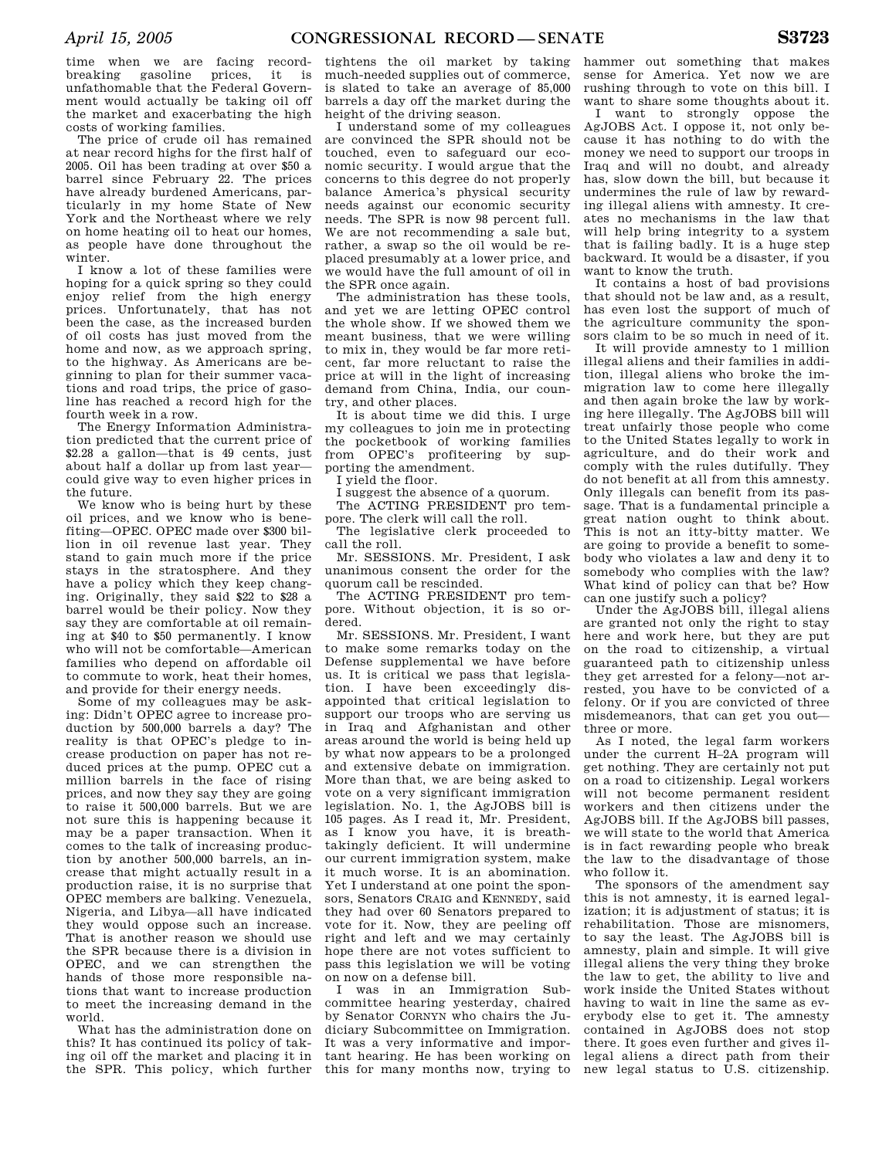time when we are facing recordbreaking gasoline prices, it is unfathomable that the Federal Government would actually be taking oil off the market and exacerbating the high costs of working families.

The price of crude oil has remained at near record highs for the first half of 2005. Oil has been trading at over \$50 a barrel since February 22. The prices have already burdened Americans, particularly in my home State of New York and the Northeast where we rely on home heating oil to heat our homes, as people have done throughout the winter.

I know a lot of these families were hoping for a quick spring so they could enjoy relief from the high energy prices. Unfortunately, that has not been the case, as the increased burden of oil costs has just moved from the home and now, as we approach spring, to the highway. As Americans are beginning to plan for their summer vacations and road trips, the price of gasoline has reached a record high for the fourth week in a row.

The Energy Information Administration predicted that the current price of \$2.28 a gallon—that is 49 cents, just about half a dollar up from last year could give way to even higher prices in the future.

We know who is being hurt by these oil prices, and we know who is benefiting—OPEC. OPEC made over \$300 billion in oil revenue last year. They stand to gain much more if the price stays in the stratosphere. And they have a policy which they keep changing. Originally, they said \$22 to \$28 a barrel would be their policy. Now they say they are comfortable at oil remaining at \$40 to \$50 permanently. I know who will not be comfortable—American families who depend on affordable oil to commute to work, heat their homes, and provide for their energy needs.

Some of my colleagues may be asking: Didn't OPEC agree to increase production by 500,000 barrels a day? The reality is that OPEC's pledge to increase production on paper has not reduced prices at the pump. OPEC cut a million barrels in the face of rising prices, and now they say they are going to raise it 500,000 barrels. But we are not sure this is happening because it may be a paper transaction. When it comes to the talk of increasing production by another 500,000 barrels, an increase that might actually result in a production raise, it is no surprise that OPEC members are balking. Venezuela, Nigeria, and Libya—all have indicated they would oppose such an increase. That is another reason we should use the SPR because there is a division in OPEC, and we can strengthen the hands of those more responsible nations that want to increase production to meet the increasing demand in the world.

What has the administration done on this? It has continued its policy of taking oil off the market and placing it in the SPR. This policy, which further

tightens the oil market by taking much-needed supplies out of commerce, is slated to take an average of 85,000 barrels a day off the market during the height of the driving season.

I understand some of my colleagues are convinced the SPR should not be touched, even to safeguard our economic security. I would argue that the concerns to this degree do not properly balance America's physical security needs against our economic security needs. The SPR is now 98 percent full. We are not recommending a sale but, rather, a swap so the oil would be replaced presumably at a lower price, and we would have the full amount of oil in the SPR once again.

The administration has these tools, and yet we are letting OPEC control the whole show. If we showed them we meant business, that we were willing to mix in, they would be far more reticent, far more reluctant to raise the price at will in the light of increasing demand from China, India, our country, and other places.

It is about time we did this. I urge my colleagues to join me in protecting the pocketbook of working families from OPEC's profiteering by supporting the amendment.

I yield the floor.

I suggest the absence of a quorum.

The ACTING PRESIDENT pro tempore. The clerk will call the roll.

The legislative clerk proceeded to call the roll.

Mr. SESSIONS. Mr. President, I ask unanimous consent the order for the quorum call be rescinded.

The ACTING PRESIDENT pro tempore. Without objection, it is so ordered.

Mr. SESSIONS. Mr. President, I want to make some remarks today on the Defense supplemental we have before us. It is critical we pass that legislation. I have been exceedingly disappointed that critical legislation to support our troops who are serving us in Iraq and Afghanistan and other areas around the world is being held up by what now appears to be a prolonged and extensive debate on immigration. More than that, we are being asked to vote on a very significant immigration legislation. No. 1, the AgJOBS bill is 105 pages. As I read it, Mr. President, as I know you have, it is breathtakingly deficient. It will undermine our current immigration system, make it much worse. It is an abomination. Yet I understand at one point the sponsors, Senators CRAIG and KENNEDY, said they had over 60 Senators prepared to vote for it. Now, they are peeling off right and left and we may certainly hope there are not votes sufficient to pass this legislation we will be voting on now on a defense bill.

I was in an Immigration Subcommittee hearing yesterday, chaired by Senator CORNYN who chairs the Judiciary Subcommittee on Immigration. It was a very informative and important hearing. He has been working on this for many months now, trying to

hammer out something that makes sense for America. Yet now we are rushing through to vote on this bill. I want to share some thoughts about it.

I want to strongly oppose the AgJOBS Act. I oppose it, not only because it has nothing to do with the money we need to support our troops in Iraq and will no doubt, and already has, slow down the bill, but because it undermines the rule of law by rewarding illegal aliens with amnesty. It creates no mechanisms in the law that will help bring integrity to a system that is failing badly. It is a huge step backward. It would be a disaster, if you want to know the truth.

It contains a host of bad provisions that should not be law and, as a result, has even lost the support of much of the agriculture community the sponsors claim to be so much in need of it.

It will provide amnesty to 1 million illegal aliens and their families in addition, illegal aliens who broke the immigration law to come here illegally and then again broke the law by working here illegally. The AgJOBS bill will treat unfairly those people who come to the United States legally to work in agriculture, and do their work and comply with the rules dutifully. They do not benefit at all from this amnesty. Only illegals can benefit from its passage. That is a fundamental principle a great nation ought to think about. This is not an itty-bitty matter. We are going to provide a benefit to somebody who violates a law and deny it to somebody who complies with the law? What kind of policy can that be? How can one justify such a policy?

Under the AgJOBS bill, illegal aliens are granted not only the right to stay here and work here, but they are put on the road to citizenship, a virtual guaranteed path to citizenship unless they get arrested for a felony—not arrested, you have to be convicted of a felony. Or if you are convicted of three misdemeanors, that can get you out three or more.

As I noted, the legal farm workers under the current H–2A program will get nothing. They are certainly not put on a road to citizenship. Legal workers will not become permanent resident workers and then citizens under the AgJOBS bill. If the AgJOBS bill passes, we will state to the world that America is in fact rewarding people who break the law to the disadvantage of those who follow it.

The sponsors of the amendment say this is not amnesty, it is earned legalization; it is adjustment of status; it is rehabilitation. Those are misnomers, to say the least. The AgJOBS bill is amnesty, plain and simple. It will give illegal aliens the very thing they broke the law to get, the ability to live and work inside the United States without having to wait in line the same as everybody else to get it. The amnesty contained in AgJOBS does not stop there. It goes even further and gives illegal aliens a direct path from their new legal status to U.S. citizenship.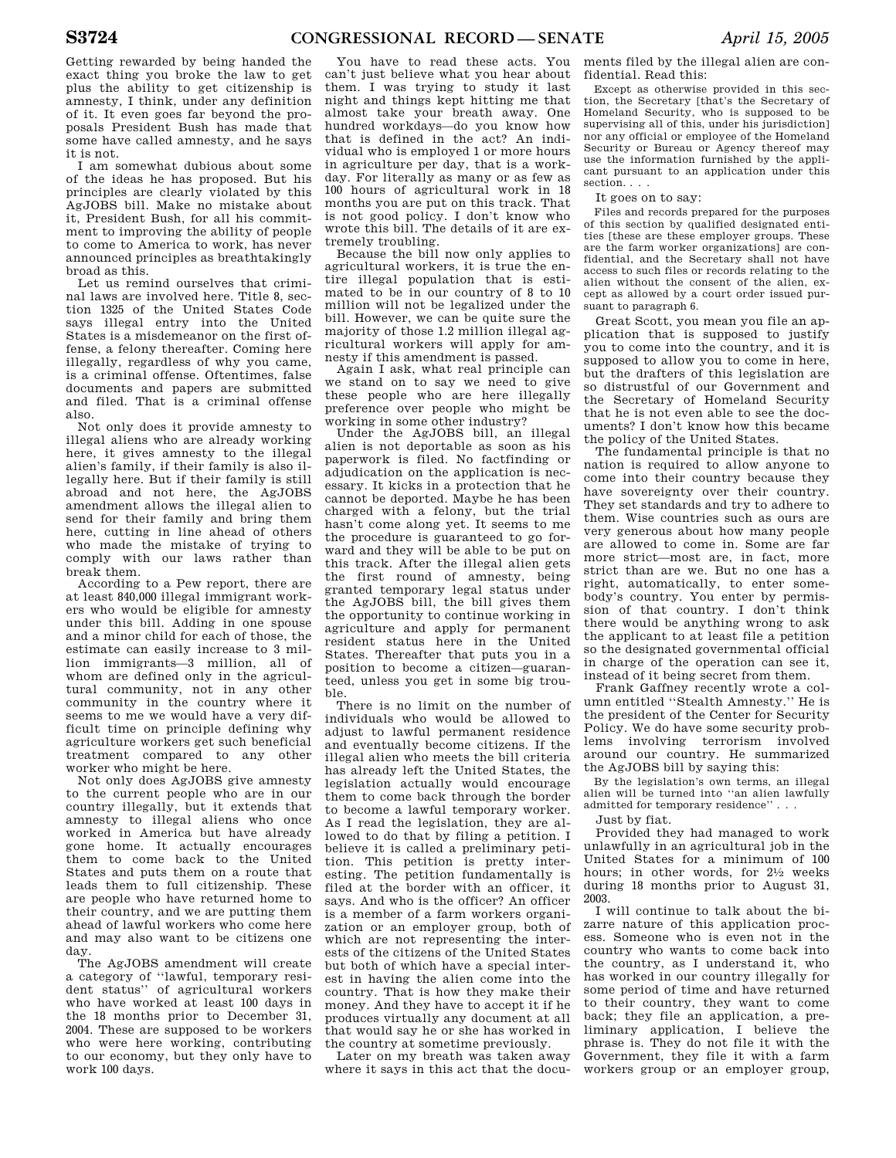Getting rewarded by being handed the exact thing you broke the law to get plus the ability to get citizenship is amnesty, I think, under any definition of it. It even goes far beyond the proposals President Bush has made that some have called amnesty, and he says it is not.

I am somewhat dubious about some of the ideas he has proposed. But his principles are clearly violated by this AgJOBS bill. Make no mistake about it, President Bush, for all his commitment to improving the ability of people to come to America to work, has never announced principles as breathtakingly broad as this.

Let us remind ourselves that criminal laws are involved here. Title 8, section 1325 of the United States Code says illegal entry into the United States is a misdemeanor on the first offense, a felony thereafter. Coming here illegally, regardless of why you came, is a criminal offense. Oftentimes, false documents and papers are submitted and filed. That is a criminal offense also.

Not only does it provide amnesty to illegal aliens who are already working here, it gives amnesty to the illegal alien's family, if their family is also illegally here. But if their family is still abroad and not here, the AgJOBS amendment allows the illegal alien to send for their family and bring them here, cutting in line ahead of others who made the mistake of trying to comply with our laws rather than break them.

According to a Pew report, there are at least 840,000 illegal immigrant workers who would be eligible for amnesty under this bill. Adding in one spouse and a minor child for each of those, the estimate can easily increase to 3 million immigrants—3 million, all of whom are defined only in the agricultural community, not in any other community in the country where it seems to me we would have a very difficult time on principle defining why agriculture workers get such beneficial treatment compared to any other worker who might be here.

Not only does AgJOBS give amnesty to the current people who are in our country illegally, but it extends that amnesty to illegal aliens who once worked in America but have already gone home. It actually encourages them to come back to the United States and puts them on a route that leads them to full citizenship. These are people who have returned home to their country, and we are putting them ahead of lawful workers who come here and may also want to be citizens one day.

The AgJOBS amendment will create a category of ''lawful, temporary resident status'' of agricultural workers who have worked at least 100 days in the 18 months prior to December 31, 2004. These are supposed to be workers who were here working, contributing to our economy, but they only have to work 100 days.

You have to read these acts. You can't just believe what you hear about them. I was trying to study it last night and things kept hitting me that almost take your breath away. One hundred workdays—do you know how that is defined in the act? An individual who is employed 1 or more hours in agriculture per day, that is a workday. For literally as many or as few as 100 hours of agricultural work in 18 months you are put on this track. That is not good policy. I don't know who wrote this bill. The details of it are extremely troubling.

Because the bill now only applies to agricultural workers, it is true the entire illegal population that is estimated to be in our country of 8 to 10 million will not be legalized under the bill. However, we can be quite sure the majority of those 1.2 million illegal agricultural workers will apply for amnesty if this amendment is passed.

Again I ask, what real principle can we stand on to say we need to give these people who are here illegally preference over people who might be working in some other industry?

Under the AgJOBS bill, an illegal alien is not deportable as soon as his paperwork is filed. No factfinding or adjudication on the application is necessary. It kicks in a protection that he cannot be deported. Maybe he has been charged with a felony, but the trial hasn't come along yet. It seems to me the procedure is guaranteed to go forward and they will be able to be put on this track. After the illegal alien gets the first round of amnesty, being granted temporary legal status under the AgJOBS bill, the bill gives them the opportunity to continue working in agriculture and apply for permanent resident status here in the United States. Thereafter that puts you in a position to become a citizen—guaranteed, unless you get in some big trouble.

There is no limit on the number of individuals who would be allowed to adjust to lawful permanent residence and eventually become citizens. If the illegal alien who meets the bill criteria has already left the United States, the legislation actually would encourage them to come back through the border to become a lawful temporary worker. As I read the legislation, they are allowed to do that by filing a petition. I believe it is called a preliminary petition. This petition is pretty interesting. The petition fundamentally is filed at the border with an officer, it says. And who is the officer? An officer is a member of a farm workers organization or an employer group, both of which are not representing the interests of the citizens of the United States but both of which have a special interest in having the alien come into the country. That is how they make their money. And they have to accept it if he produces virtually any document at all that would say he or she has worked in the country at sometime previously.

Later on my breath was taken away where it says in this act that the documents filed by the illegal alien are confidential. Read this:

Except as otherwise provided in this section, the Secretary [that's the Secretary of Homeland Security, who is supposed to be supervising all of this, under his jurisdiction] nor any official or employee of the Homeland Security or Bureau or Agency thereof may use the information furnished by the applicant pursuant to an application under this section. . . .

It goes on to say:

Files and records prepared for the purposes of this section by qualified designated entities [these are these employer groups. These are the farm worker organizations] are confidential, and the Secretary shall not have access to such files or records relating to the alien without the consent of the alien, except as allowed by a court order issued pursuant to paragraph 6.

Great Scott, you mean you file an application that is supposed to justify you to come into the country, and it is supposed to allow you to come in here, but the drafters of this legislation are so distrustful of our Government and the Secretary of Homeland Security that he is not even able to see the documents? I don't know how this became the policy of the United States.

The fundamental principle is that no nation is required to allow anyone to come into their country because they have sovereignty over their country. They set standards and try to adhere to them. Wise countries such as ours are very generous about how many people are allowed to come in. Some are far more strict—most are, in fact, more strict than are we. But no one has a right, automatically, to enter somebody's country. You enter by permission of that country. I don't think there would be anything wrong to ask the applicant to at least file a petition so the designated governmental official in charge of the operation can see it, instead of it being secret from them.

Frank Gaffney recently wrote a column entitled ''Stealth Amnesty.'' He is the president of the Center for Security Policy. We do have some security problems involving terrorism involved around our country. He summarized the AgJOBS bill by saying this:

By the legislation's own terms, an illegal alien will be turned into ''an alien lawfully admitted for temporary residence'' . . .

Just by fiat.

Provided they had managed to work unlawfully in an agricultural job in the United States for a minimum of 100 hours; in other words, for 21⁄2 weeks during 18 months prior to August 31, 2003.

I will continue to talk about the bizarre nature of this application process. Someone who is even not in the country who wants to come back into the country, as I understand it, who has worked in our country illegally for some period of time and have returned to their country, they want to come back; they file an application, a preliminary application, I believe the phrase is. They do not file it with the Government, they file it with a farm workers group or an employer group,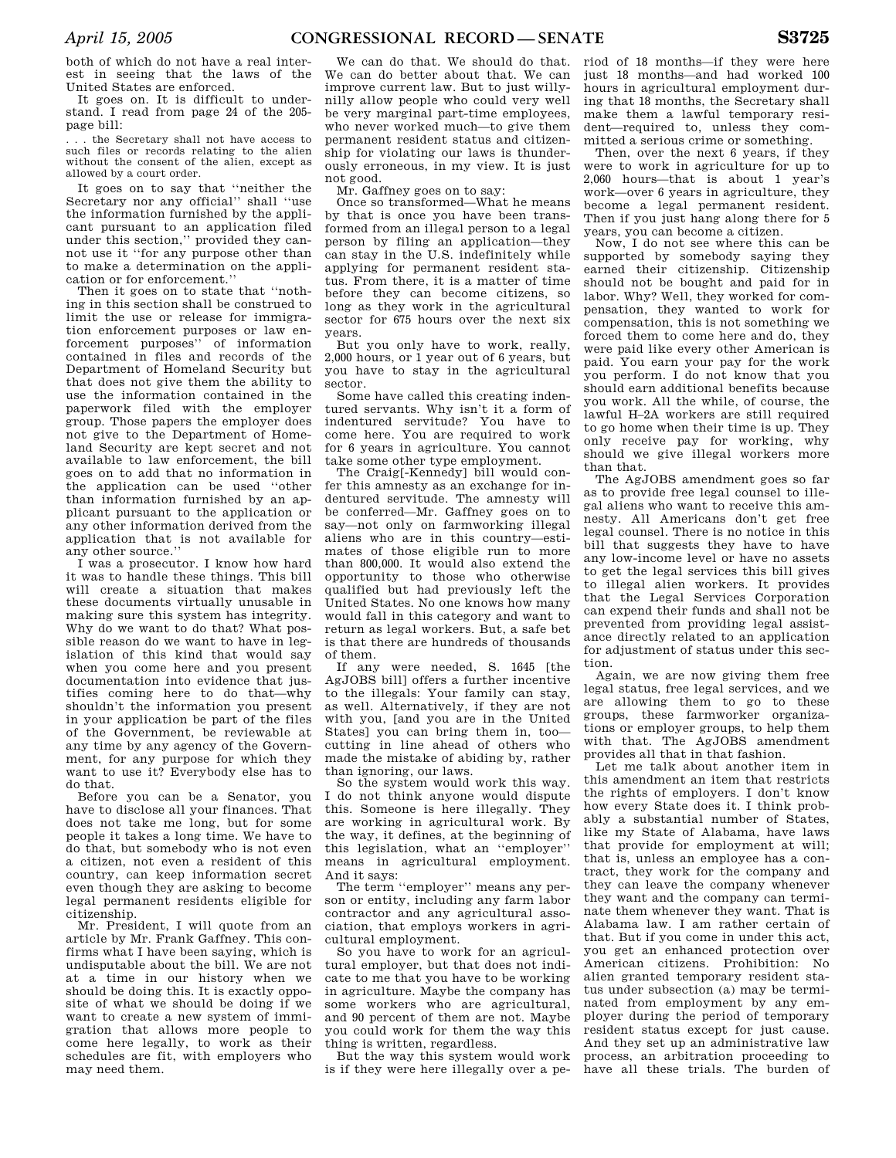both of which do not have a real interest in seeing that the laws of the United States are enforced.

It goes on. It is difficult to understand. I read from page 24 of the 205 page bill:

. . . the Secretary shall not have access to such files or records relating to the alien without the consent of the alien, except as allowed by a court order.

It goes on to say that ''neither the Secretary nor any official'' shall ''use the information furnished by the applicant pursuant to an application filed under this section,'' provided they cannot use it ''for any purpose other than to make a determination on the application or for enforcement.''

Then it goes on to state that ''nothing in this section shall be construed to limit the use or release for immigration enforcement purposes or law enforcement purposes'' of information contained in files and records of the Department of Homeland Security but that does not give them the ability to use the information contained in the paperwork filed with the employer group. Those papers the employer does not give to the Department of Homeland Security are kept secret and not available to law enforcement, the bill goes on to add that no information in the application can be used ''other than information furnished by an applicant pursuant to the application or any other information derived from the application that is not available for any other source.''

I was a prosecutor. I know how hard it was to handle these things. This bill will create a situation that makes these documents virtually unusable in making sure this system has integrity. Why do we want to do that? What possible reason do we want to have in legislation of this kind that would say when you come here and you present documentation into evidence that justifies coming here to do that—why shouldn't the information you present in your application be part of the files of the Government, be reviewable at any time by any agency of the Government, for any purpose for which they want to use it? Everybody else has to do that.

Before you can be a Senator, you have to disclose all your finances. That does not take me long, but for some people it takes a long time. We have to do that, but somebody who is not even a citizen, not even a resident of this country, can keep information secret even though they are asking to become legal permanent residents eligible for citizenship.

Mr. President, I will quote from an article by Mr. Frank Gaffney. This confirms what I have been saying, which is undisputable about the bill. We are not at a time in our history when we should be doing this. It is exactly opposite of what we should be doing if we want to create a new system of immigration that allows more people to come here legally, to work as their schedules are fit, with employers who may need them.

We can do that. We should do that. We can do better about that. We can improve current law. But to just willynilly allow people who could very well be very marginal part-time employees, who never worked much—to give them permanent resident status and citizenship for violating our laws is thunderously erroneous, in my view. It is just not good.

Mr. Gaffney goes on to say:

Once so transformed—What he means by that is once you have been transformed from an illegal person to a legal person by filing an application—they can stay in the U.S. indefinitely while applying for permanent resident status. From there, it is a matter of time before they can become citizens, so long as they work in the agricultural sector for 675 hours over the next six years.

But you only have to work, really 2,000 hours, or 1 year out of 6 years, but you have to stay in the agricultural sector.

Some have called this creating indentured servants. Why isn't it a form of indentured servitude? You have to come here. You are required to work for 6 years in agriculture. You cannot take some other type employment.

The Craig[-Kennedy] bill would confer this amnesty as an exchange for indentured servitude. The amnesty will be conferred—Mr. Gaffney goes on to say—not only on farmworking illegal aliens who are in this country—estimates of those eligible run to more than 800,000. It would also extend the opportunity to those who otherwise qualified but had previously left the United States. No one knows how many would fall in this category and want to return as legal workers. But, a safe bet is that there are hundreds of thousands of them.

If any were needed, S. 1645 [the AgJOBS bill] offers a further incentive to the illegals: Your family can stay, as well. Alternatively, if they are not with you, [and you are in the United States] you can bring them in, too cutting in line ahead of others who made the mistake of abiding by, rather than ignoring, our laws.

So the system would work this way. I do not think anyone would dispute this. Someone is here illegally. They are working in agricultural work. By the way, it defines, at the beginning of this legislation, what an ''employer'' means in agricultural employment. And it says:

The term ''employer'' means any person or entity, including any farm labor contractor and any agricultural association, that employs workers in agricultural employment.

So you have to work for an agricultural employer, but that does not indicate to me that you have to be working in agriculture. Maybe the company has some workers who are agricultural, and 90 percent of them are not. Maybe you could work for them the way this thing is written, regardless.

But the way this system would work is if they were here illegally over a period of 18 months—if they were here just 18 months—and had worked 100 hours in agricultural employment during that 18 months, the Secretary shall make them a lawful temporary resident—required to, unless they committed a serious crime or something.

Then, over the next 6 years, if they were to work in agriculture for up to 2,060 hours—that is about 1 year's work—over 6 years in agriculture, they become a legal permanent resident. Then if you just hang along there for 5 years, you can become a citizen.

Now, I do not see where this can be supported by somebody saying they earned their citizenship. Citizenship should not be bought and paid for in labor. Why? Well, they worked for compensation, they wanted to work for compensation, this is not something we forced them to come here and do, they were paid like every other American is paid. You earn your pay for the work you perform. I do not know that you should earn additional benefits because you work. All the while, of course, the lawful H–2A workers are still required to go home when their time is up. They only receive pay for working, why should we give illegal workers more than that.

The AgJOBS amendment goes so far as to provide free legal counsel to illegal aliens who want to receive this amnesty. All Americans don't get free legal counsel. There is no notice in this bill that suggests they have to have any low-income level or have no assets to get the legal services this bill gives to illegal alien workers. It provides that the Legal Services Corporation can expend their funds and shall not be prevented from providing legal assistance directly related to an application for adjustment of status under this section.

Again, we are now giving them free legal status, free legal services, and we are allowing them to go to these groups, these farmworker organizations or employer groups, to help them with that. The AgJOBS amendment provides all that in that fashion.

Let me talk about another item in this amendment an item that restricts the rights of employers. I don't know how every State does it. I think probably a substantial number of States, like my State of Alabama, have laws that provide for employment at will; that is, unless an employee has a contract, they work for the company and they can leave the company whenever they want and the company can terminate them whenever they want. That is Alabama law. I am rather certain of that. But if you come in under this act, you get an enhanced protection over American citizens. Prohibition: No alien granted temporary resident status under subsection (a) may be terminated from employment by any employer during the period of temporary resident status except for just cause. And they set up an administrative law process, an arbitration proceeding to have all these trials. The burden of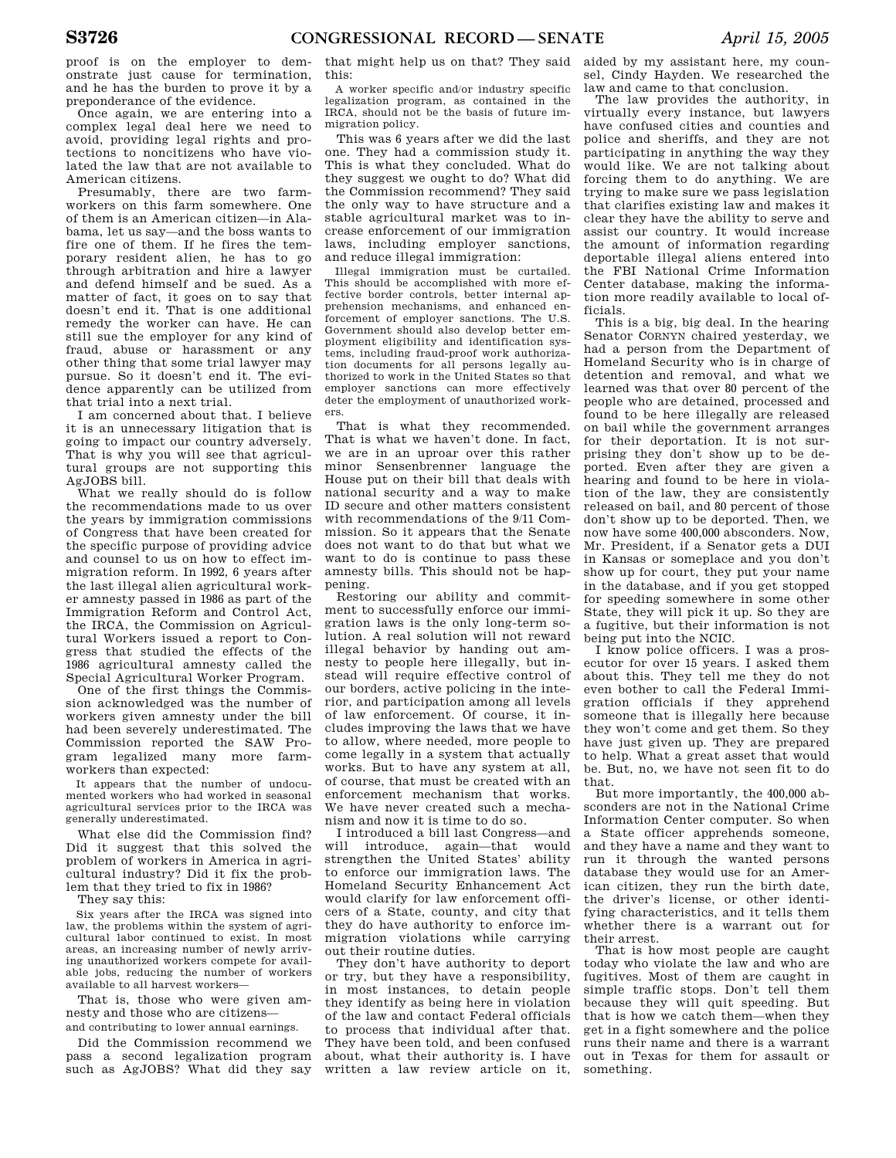proof is on the employer to demonstrate just cause for termination, and he has the burden to prove it by a preponderance of the evidence.

Once again, we are entering into a complex legal deal here we need to avoid, providing legal rights and protections to noncitizens who have violated the law that are not available to American citizens.

Presumably, there are two farmworkers on this farm somewhere. One of them is an American citizen—in Alabama, let us say—and the boss wants to fire one of them. If he fires the temporary resident alien, he has to go through arbitration and hire a lawyer and defend himself and be sued. As a matter of fact, it goes on to say that doesn't end it. That is one additional remedy the worker can have. He can still sue the employer for any kind of fraud, abuse or harassment or any other thing that some trial lawyer may pursue. So it doesn't end it. The evidence apparently can be utilized from that trial into a next trial.

I am concerned about that. I believe it is an unnecessary litigation that is going to impact our country adversely. That is why you will see that agricultural groups are not supporting this AgJOBS bill.

What we really should do is follow the recommendations made to us over the years by immigration commissions of Congress that have been created for the specific purpose of providing advice and counsel to us on how to effect immigration reform. In 1992, 6 years after the last illegal alien agricultural worker amnesty passed in 1986 as part of the Immigration Reform and Control Act, the IRCA, the Commission on Agricultural Workers issued a report to Congress that studied the effects of the 1986 agricultural amnesty called the Special Agricultural Worker Program.

One of the first things the Commission acknowledged was the number of workers given amnesty under the bill had been severely underestimated. The Commission reported the SAW Program legalized many more farmworkers than expected:

It appears that the number of undocumented workers who had worked in seasonal agricultural services prior to the IRCA was generally underestimated.

What else did the Commission find? Did it suggest that this solved the problem of workers in America in agricultural industry? Did it fix the problem that they tried to fix in 1986?

They say this:

Six years after the IRCA was signed into law, the problems within the system of agricultural labor continued to exist. In most areas, an increasing number of newly arriving unauthorized workers compete for available jobs, reducing the number of workers available to all harvest workers—

That is, those who were given amnesty and those who are citizens and contributing to lower annual earnings.

Did the Commission recommend we pass a second legalization program such as AgJOBS? What did they say

that might help us on that? They said this:

A worker specific and/or industry specific legalization program, as contained in the IRCA, should not be the basis of future immigration policy.

This was 6 years after we did the last one. They had a commission study it. This is what they concluded. What do they suggest we ought to do? What did the Commission recommend? They said the only way to have structure and a stable agricultural market was to increase enforcement of our immigration laws, including employer sanctions, and reduce illegal immigration:

Illegal immigration must be curtailed. This should be accomplished with more effective border controls, better internal apprehension mechanisms, and enhanced enforcement of employer sanctions. The U.S. Government should also develop better employment eligibility and identification systems, including fraud-proof work authorization documents for all persons legally authorized to work in the United States so that employer sanctions can more effectively deter the employment of unauthorized workers.

That is what they recommended. That is what we haven't done. In fact, we are in an uproar over this rather minor Sensenbrenner language the House put on their bill that deals with national security and a way to make ID secure and other matters consistent with recommendations of the 9/11 Commission. So it appears that the Senate does not want to do that but what we want to do is continue to pass these amnesty bills. This should not be happening.

Restoring our ability and commitment to successfully enforce our immigration laws is the only long-term solution. A real solution will not reward illegal behavior by handing out amnesty to people here illegally, but instead will require effective control of our borders, active policing in the interior, and participation among all levels of law enforcement. Of course, it includes improving the laws that we have to allow, where needed, more people to come legally in a system that actually works. But to have any system at all, of course, that must be created with an enforcement mechanism that works. We have never created such a mechanism and now it is time to do so.

I introduced a bill last Congress—and will introduce, again—that would strengthen the United States' ability to enforce our immigration laws. The Homeland Security Enhancement Act would clarify for law enforcement officers of a State, county, and city that they do have authority to enforce immigration violations while carrying out their routine duties.

They don't have authority to deport or try, but they have a responsibility, in most instances, to detain people they identify as being here in violation of the law and contact Federal officials to process that individual after that. They have been told, and been confused about, what their authority is. I have written a law review article on it,

aided by my assistant here, my counsel, Cindy Hayden. We researched the law and came to that conclusion.

The law provides the authority, in virtually every instance, but lawyers have confused cities and counties and police and sheriffs, and they are not participating in anything the way they would like. We are not talking about forcing them to do anything. We are trying to make sure we pass legislation that clarifies existing law and makes it clear they have the ability to serve and assist our country. It would increase the amount of information regarding deportable illegal aliens entered into the FBI National Crime Information Center database, making the information more readily available to local officials.

This is a big, big deal. In the hearing Senator CORNYN chaired yesterday, we had a person from the Department of Homeland Security who is in charge of detention and removal, and what we learned was that over 80 percent of the people who are detained, processed and found to be here illegally are released on bail while the government arranges for their deportation. It is not surprising they don't show up to be deported. Even after they are given a hearing and found to be here in violation of the law, they are consistently released on bail, and 80 percent of those don't show up to be deported. Then, we now have some 400,000 absconders. Now, Mr. President, if a Senator gets a DUI in Kansas or someplace and you don't show up for court, they put your name in the database, and if you get stopped for speeding somewhere in some other State, they will pick it up. So they are a fugitive, but their information is not being put into the NCIC.

I know police officers. I was a prosecutor for over 15 years. I asked them about this. They tell me they do not even bother to call the Federal Immigration officials if they apprehend someone that is illegally here because they won't come and get them. So they have just given up. They are prepared to help. What a great asset that would be. But, no, we have not seen fit to do that.

But more importantly, the 400,000 absconders are not in the National Crime Information Center computer. So when a State officer apprehends someone, and they have a name and they want to run it through the wanted persons database they would use for an American citizen, they run the birth date, the driver's license, or other identifying characteristics, and it tells them whether there is a warrant out for their arrest.

That is how most people are caught today who violate the law and who are fugitives. Most of them are caught in simple traffic stops. Don't tell them because they will quit speeding. But that is how we catch them—when they get in a fight somewhere and the police runs their name and there is a warrant out in Texas for them for assault or something.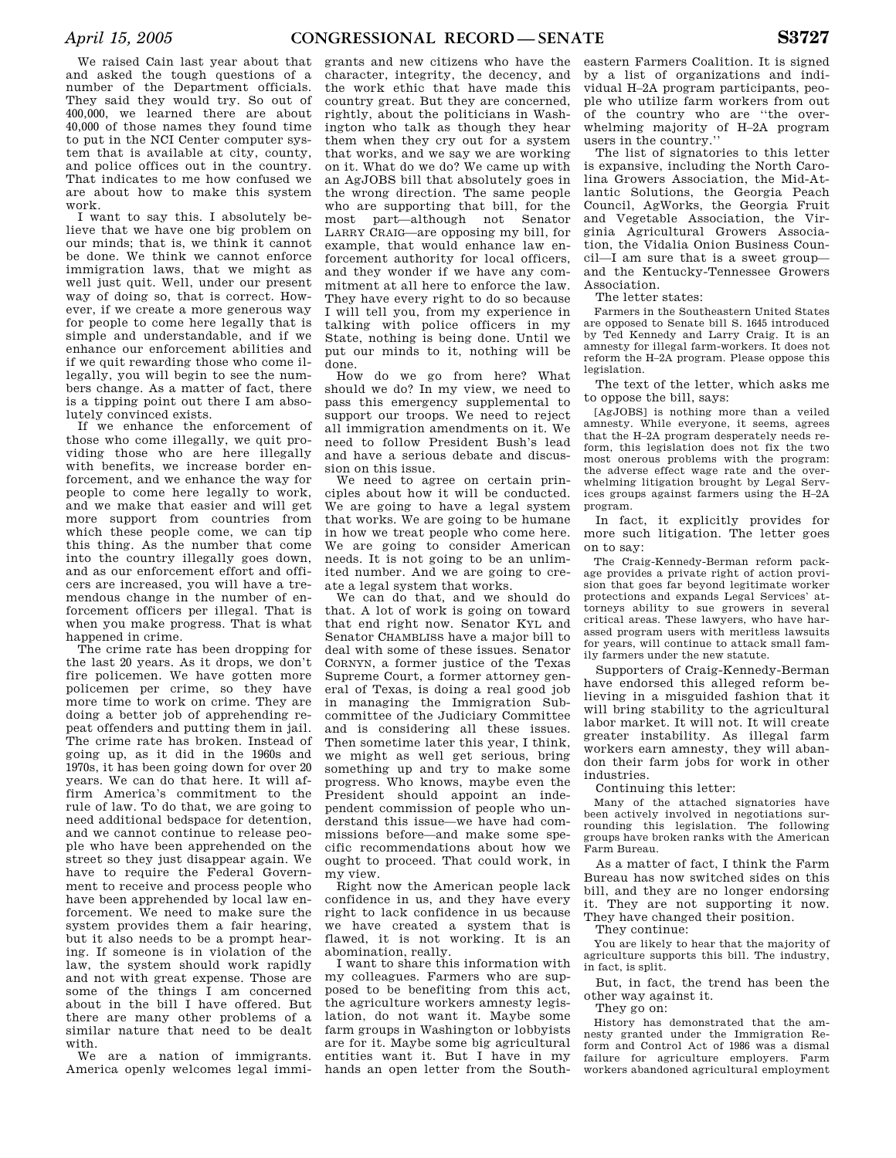We raised Cain last year about that and asked the tough questions of a number of the Department officials. They said they would try. So out of 400,000, we learned there are about 40,000 of those names they found time to put in the NCI Center computer system that is available at city, county, and police offices out in the country. That indicates to me how confused we are about how to make this system work.

I want to say this. I absolutely believe that we have one big problem on our minds; that is, we think it cannot be done. We think we cannot enforce immigration laws, that we might as well just quit. Well, under our present way of doing so, that is correct. However, if we create a more generous way for people to come here legally that is simple and understandable, and if we enhance our enforcement abilities and if we quit rewarding those who come illegally, you will begin to see the numbers change. As a matter of fact, there is a tipping point out there I am absolutely convinced exists.

If we enhance the enforcement of those who come illegally, we quit providing those who are here illegally with benefits, we increase border enforcement, and we enhance the way for people to come here legally to work, and we make that easier and will get more support from countries from which these people come, we can tip this thing. As the number that come into the country illegally goes down, and as our enforcement effort and officers are increased, you will have a tremendous change in the number of enforcement officers per illegal. That is when you make progress. That is what happened in crime.

The crime rate has been dropping for the last 20 years. As it drops, we don't fire policemen. We have gotten more policemen per crime, so they have more time to work on crime. They are doing a better job of apprehending repeat offenders and putting them in jail. The crime rate has broken. Instead of going up, as it did in the 1960s and 1970s, it has been going down for over 20 years. We can do that here. It will affirm America's commitment to the rule of law. To do that, we are going to need additional bedspace for detention, and we cannot continue to release people who have been apprehended on the street so they just disappear again. We have to require the Federal Government to receive and process people who have been apprehended by local law enforcement. We need to make sure the system provides them a fair hearing, but it also needs to be a prompt hearing. If someone is in violation of the law, the system should work rapidly and not with great expense. Those are some of the things I am concerned about in the bill I have offered. But there are many other problems of a similar nature that need to be dealt with.

We are a nation of immigrants. America openly welcomes legal immi-

grants and new citizens who have the character, integrity, the decency, and the work ethic that have made this country great. But they are concerned, rightly, about the politicians in Washington who talk as though they hear them when they cry out for a system that works, and we say we are working on it. What do we do? We came up with an AgJOBS bill that absolutely goes in the wrong direction. The same people who are supporting that bill, for the most part—although not Senator LARRY CRAIG—are opposing my bill, for example, that would enhance law enforcement authority for local officers, and they wonder if we have any commitment at all here to enforce the law. They have every right to do so because I will tell you, from my experience in talking with police officers in my State, nothing is being done. Until we put our minds to it, nothing will be done.

How do we go from here? What should we do? In my view, we need to pass this emergency supplemental to support our troops. We need to reject all immigration amendments on it. We need to follow President Bush's lead and have a serious debate and discussion on this issue.

We need to agree on certain principles about how it will be conducted. We are going to have a legal system that works. We are going to be humane in how we treat people who come here. We are going to consider American needs. It is not going to be an unlimited number. And we are going to create a legal system that works.

We can do that, and we should do that. A lot of work is going on toward that end right now. Senator KYL and Senator CHAMBLISS have a major bill to deal with some of these issues. Senator CORNYN, a former justice of the Texas Supreme Court, a former attorney general of Texas, is doing a real good job in managing the Immigration Subcommittee of the Judiciary Committee and is considering all these issues. Then sometime later this year, I think, we might as well get serious, bring something up and try to make some progress. Who knows, maybe even the President should appoint an independent commission of people who understand this issue—we have had commissions before—and make some specific recommendations about how we ought to proceed. That could work, in my view.

Right now the American people lack confidence in us, and they have every right to lack confidence in us because we have created a system that is flawed, it is not working. It is an abomination, really.

I want to share this information with my colleagues. Farmers who are supposed to be benefiting from this act, the agriculture workers amnesty legislation, do not want it. Maybe some farm groups in Washington or lobbyists are for it. Maybe some big agricultural entities want it. But I have in my hands an open letter from the South-

eastern Farmers Coalition. It is signed by a list of organizations and individual H–2A program participants, people who utilize farm workers from out of the country who are ''the overwhelming majority of H–2A program users in the country.''

The list of signatories to this letter is expansive, including the North Carolina Growers Association, the Mid-Atlantic Solutions, the Georgia Peach Council, AgWorks, the Georgia Fruit and Vegetable Association, the Virginia Agricultural Growers Association, the Vidalia Onion Business Council—I am sure that is a sweet group and the Kentucky-Tennessee Growers Association.

The letter states:

Farmers in the Southeastern United States are opposed to Senate bill S. 1645 introduced by Ted Kennedy and Larry Craig. It is an amnesty for illegal farm-workers. It does not reform the H–2A program. Please oppose this legislation.

The text of the letter, which asks me to oppose the bill, says:

[AgJOBS] is nothing more than a veiled amnesty. While everyone, it seems, agrees that the H–2A program desperately needs reform, this legislation does not fix the two most onerous problems with the program: the adverse effect wage rate and the overwhelming litigation brought by Legal Services groups against farmers using the H–2A program.

In fact, it explicitly provides for more such litigation. The letter goes on to say:

The Craig-Kennedy-Berman reform package provides a private right of action provision that goes far beyond legitimate worker protections and expands Legal Services' attorneys ability to sue growers in several critical areas. These lawyers, who have harassed program users with meritless lawsuits for years, will continue to attack small family farmers under the new statute.

Supporters of Craig-Kennedy-Berman have endorsed this alleged reform believing in a misguided fashion that it will bring stability to the agricultural labor market. It will not. It will create greater instability. As illegal farm workers earn amnesty, they will abandon their farm jobs for work in other industries.

Continuing this letter:

Many of the attached signatories have been actively involved in negotiations surrounding this legislation. The following groups have broken ranks with the American Farm Bureau.

As a matter of fact, I think the Farm Bureau has now switched sides on this bill, and they are no longer endorsing it. They are not supporting it now. They have changed their position.

They continue:

You are likely to hear that the majority of agriculture supports this bill. The industry, in fact, is split.

But, in fact, the trend has been the other way against it.

They go on:

History has demonstrated that the amnesty granted under the Immigration Reform and Control Act of 1986 was a dismal failure for agriculture employers. Farm workers abandoned agricultural employment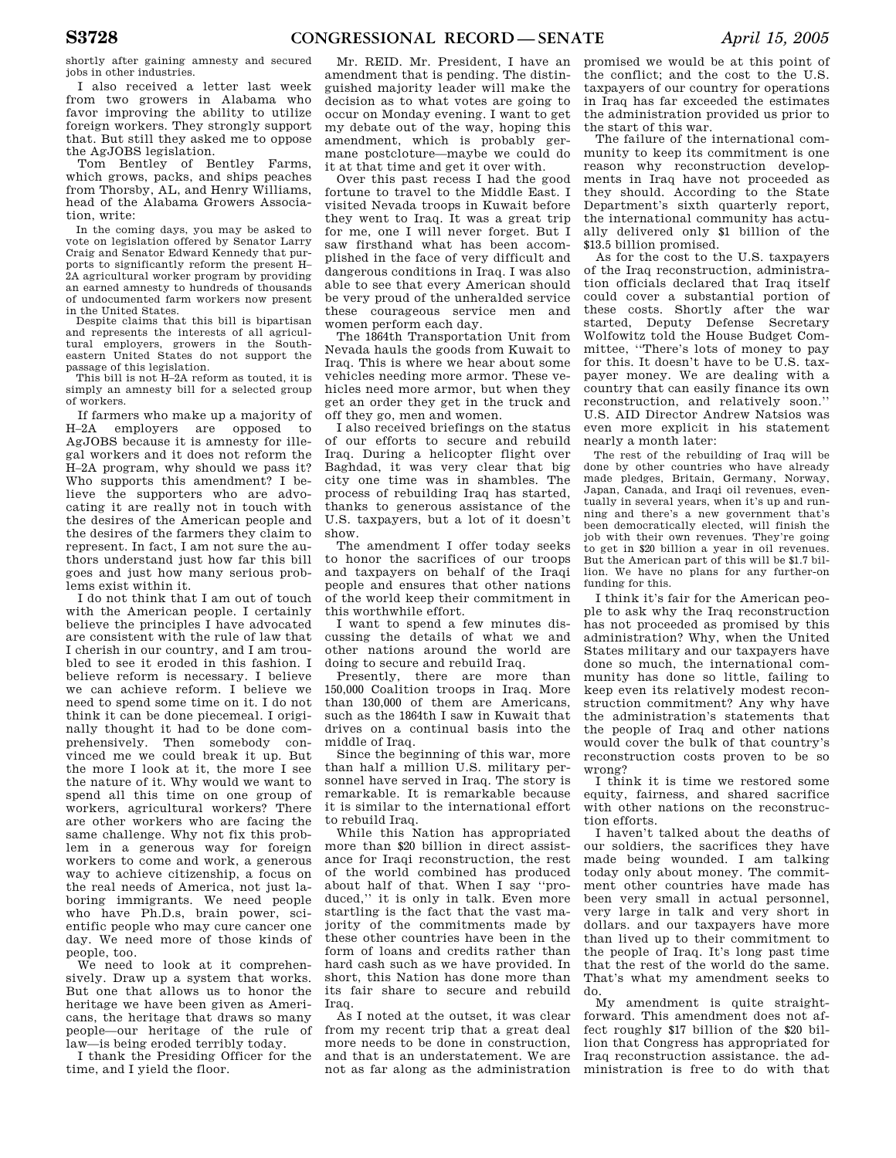shortly after gaining amnesty and secured jobs in other industries.

I also received a letter last week from two growers in Alabama who favor improving the ability to utilize foreign workers. They strongly support that. But still they asked me to oppose the AgJOBS legislation.

Tom Bentley of Bentley Farms, which grows, packs, and ships peaches from Thorsby, AL, and Henry Williams, head of the Alabama Growers Association, write:

In the coming days, you may be asked to vote on legislation offered by Senator Larry Craig and Senator Edward Kennedy that purports to significantly reform the present H– 2A agricultural worker program by providing an earned amnesty to hundreds of thousands of undocumented farm workers now present in the United States.

Despite claims that this bill is bipartisan and represents the interests of all agricultural employers, growers in the Southeastern United States do not support the passage of this legislation.

This bill is not H–2A reform as touted, it is simply an amnesty bill for a selected group of workers.

If farmers who make up a majority of H–2A employers are opposed to AgJOBS because it is amnesty for illegal workers and it does not reform the H–2A program, why should we pass it? Who supports this amendment? I believe the supporters who are advocating it are really not in touch with the desires of the American people and the desires of the farmers they claim to represent. In fact, I am not sure the authors understand just how far this bill goes and just how many serious problems exist within it.

I do not think that I am out of touch with the American people. I certainly believe the principles I have advocated are consistent with the rule of law that I cherish in our country, and I am troubled to see it eroded in this fashion. I believe reform is necessary. I believe we can achieve reform. I believe we need to spend some time on it. I do not think it can be done piecemeal. I originally thought it had to be done comprehensively. Then somebody convinced me we could break it up. But the more I look at it, the more I see the nature of it. Why would we want to spend all this time on one group of workers, agricultural workers? There are other workers who are facing the same challenge. Why not fix this problem in a generous way for foreign workers to come and work, a generous way to achieve citizenship, a focus on the real needs of America, not just laboring immigrants. We need people who have Ph.D.s, brain power, scientific people who may cure cancer one day. We need more of those kinds of people, too.

We need to look at it comprehensively. Draw up a system that works. But one that allows us to honor the heritage we have been given as Americans, the heritage that draws so many people—our heritage of the rule of law—is being eroded terribly today.

I thank the Presiding Officer for the time, and I yield the floor.

Mr. REID. Mr. President, I have an amendment that is pending. The distinguished majority leader will make the decision as to what votes are going to occur on Monday evening. I want to get my debate out of the way, hoping this amendment, which is probably germane postcloture—maybe we could do it at that time and get it over with.

Over this past recess I had the good fortune to travel to the Middle East. I visited Nevada troops in Kuwait before they went to Iraq. It was a great trip for me, one I will never forget. But I saw firsthand what has been accomplished in the face of very difficult and dangerous conditions in Iraq. I was also able to see that every American should be very proud of the unheralded service these courageous service men and women perform each day.

The 1864th Transportation Unit from Nevada hauls the goods from Kuwait to Iraq. This is where we hear about some vehicles needing more armor. These vehicles need more armor, but when they get an order they get in the truck and off they go, men and women.

I also received briefings on the status of our efforts to secure and rebuild Iraq. During a helicopter flight over Baghdad, it was very clear that big city one time was in shambles. The process of rebuilding Iraq has started, thanks to generous assistance of the U.S. taxpayers, but a lot of it doesn't show.

The amendment I offer today seeks to honor the sacrifices of our troops and taxpayers on behalf of the Iraqi people and ensures that other nations of the world keep their commitment in this worthwhile effort.

I want to spend a few minutes discussing the details of what we and other nations around the world are doing to secure and rebuild Iraq.

Presently, there are more than 150,000 Coalition troops in Iraq. More than 130,000 of them are Americans, such as the 1864th I saw in Kuwait that drives on a continual basis into the middle of Iraq.

Since the beginning of this war, more than half a million U.S. military personnel have served in Iraq. The story is remarkable. It is remarkable because it is similar to the international effort to rebuild Iraq.

While this Nation has appropriated more than \$20 billion in direct assistance for Iraqi reconstruction, the rest of the world combined has produced about half of that. When I say ''produced,'' it is only in talk. Even more startling is the fact that the vast majority of the commitments made by these other countries have been in the form of loans and credits rather than hard cash such as we have provided. In short, this Nation has done more than its fair share to secure and rebuild Iraq.

As I noted at the outset, it was clear from my recent trip that a great deal more needs to be done in construction, and that is an understatement. We are not as far along as the administration

promised we would be at this point of the conflict; and the cost to the U.S. taxpayers of our country for operations in Iraq has far exceeded the estimates the administration provided us prior to the start of this war.

The failure of the international community to keep its commitment is one reason why reconstruction developments in Iraq have not proceeded as they should. According to the State Department's sixth quarterly report, the international community has actually delivered only \$1 billion of the \$13.5 billion promised.

As for the cost to the U.S. taxpayers of the Iraq reconstruction, administration officials declared that Iraq itself could cover a substantial portion of these costs. Shortly after the war started, Deputy Defense Secretary Wolfowitz told the House Budget Committee, ''There's lots of money to pay for this. It doesn't have to be U.S. taxpayer money. We are dealing with a country that can easily finance its own reconstruction, and relatively soon.'' U.S. AID Director Andrew Natsios was even more explicit in his statement nearly a month later:

The rest of the rebuilding of Iraq will be done by other countries who have already made pledges, Britain, Germany, Norway, Japan, Canada, and Iraqi oil revenues, eventually in several years, when it's up and running and there's a new government that's been democratically elected, will finish the job with their own revenues. They're going to get in \$20 billion a year in oil revenues. But the American part of this will be \$1.7 billion. We have no plans for any further-on funding for this.

I think it's fair for the American people to ask why the Iraq reconstruction has not proceeded as promised by this administration? Why, when the United States military and our taxpayers have done so much, the international community has done so little, failing to keep even its relatively modest reconstruction commitment? Any why have the administration's statements that the people of Iraq and other nations would cover the bulk of that country's reconstruction costs proven to be so wrong?

I think it is time we restored some equity, fairness, and shared sacrifice with other nations on the reconstruction efforts.

I haven't talked about the deaths of our soldiers, the sacrifices they have made being wounded. I am talking today only about money. The commitment other countries have made has been very small in actual personnel, very large in talk and very short in dollars. and our taxpayers have more than lived up to their commitment to the people of Iraq. It's long past time that the rest of the world do the same. That's what my amendment seeks to do.

My amendment is quite straightforward. This amendment does not affect roughly \$17 billion of the \$20 billion that Congress has appropriated for Iraq reconstruction assistance. the administration is free to do with that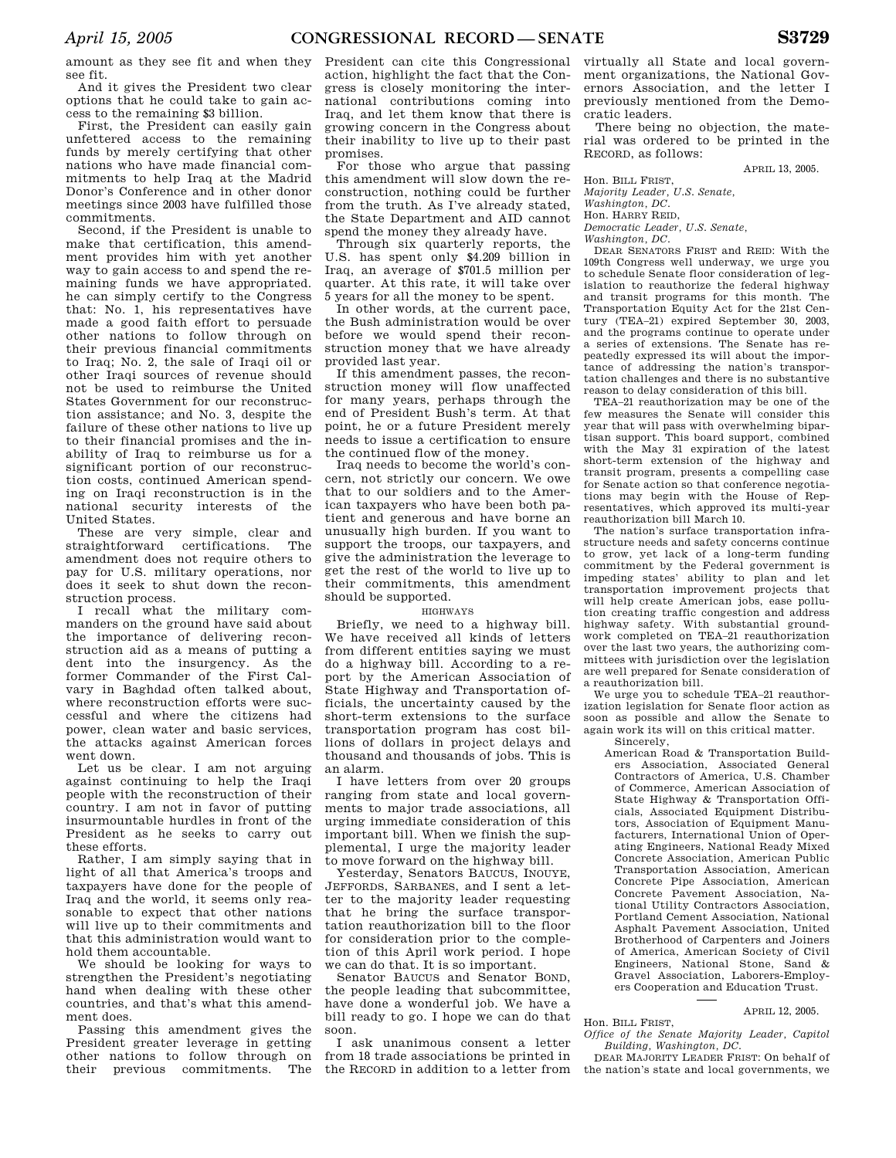amount as they see fit and when they see fit.

And it gives the President two clear options that he could take to gain access to the remaining \$3 billion.

First, the President can easily gain unfettered access to the remaining funds by merely certifying that other nations who have made financial commitments to help Iraq at the Madrid Donor's Conference and in other donor meetings since 2003 have fulfilled those commitments.

Second, if the President is unable to make that certification, this amendment provides him with yet another way to gain access to and spend the remaining funds we have appropriated. he can simply certify to the Congress that: No. 1, his representatives have made a good faith effort to persuade other nations to follow through on their previous financial commitments to Iraq; No. 2, the sale of Iraqi oil or other Iraqi sources of revenue should not be used to reimburse the United States Government for our reconstruction assistance; and No. 3, despite the failure of these other nations to live up to their financial promises and the inability of Iraq to reimburse us for a significant portion of our reconstruction costs, continued American spending on Iraqi reconstruction is in the national security interests of the United States.

These are very simple, clear and straightforward certifications. The amendment does not require others to pay for U.S. military operations, nor does it seek to shut down the reconstruction process.

I recall what the military commanders on the ground have said about the importance of delivering reconstruction aid as a means of putting a dent into the insurgency. As the former Commander of the First Calvary in Baghdad often talked about, where reconstruction efforts were successful and where the citizens had power, clean water and basic services, the attacks against American forces went down.

Let us be clear. I am not arguing against continuing to help the Iraqi people with the reconstruction of their country. I am not in favor of putting insurmountable hurdles in front of the President as he seeks to carry out these efforts.

Rather, I am simply saying that in light of all that America's troops and taxpayers have done for the people of Iraq and the world, it seems only reasonable to expect that other nations will live up to their commitments and that this administration would want to hold them accountable.

We should be looking for ways to strengthen the President's negotiating hand when dealing with these other countries, and that's what this amendment does.

Passing this amendment gives the President greater leverage in getting other nations to follow through on their previous commitments. The President can cite this Congressional action, highlight the fact that the Congress is closely monitoring the international contributions coming into Iraq, and let them know that there is growing concern in the Congress about their inability to live up to their past promises.

For those who argue that passing this amendment will slow down the reconstruction, nothing could be further from the truth. As I've already stated, the State Department and AID cannot spend the money they already have.

Through six quarterly reports, the U.S. has spent only \$4.209 billion in Iraq, an average of \$701.5 million per quarter. At this rate, it will take over 5 years for all the money to be spent.

In other words, at the current pace, the Bush administration would be over before we would spend their reconstruction money that we have already provided last year.

If this amendment passes, the reconstruction money will flow unaffected for many years, perhaps through the end of President Bush's term. At that point, he or a future President merely needs to issue a certification to ensure the continued flow of the money.

Iraq needs to become the world's concern, not strictly our concern. We owe that to our soldiers and to the American taxpayers who have been both patient and generous and have borne an unusually high burden. If you want to support the troops, our taxpayers, and give the administration the leverage to get the rest of the world to live up to their commitments, this amendment should be supported.

## HIGHWAYS

Briefly, we need to a highway bill. We have received all kinds of letters from different entities saying we must do a highway bill. According to a report by the American Association of State Highway and Transportation officials, the uncertainty caused by the short-term extensions to the surface transportation program has cost billions of dollars in project delays and thousand and thousands of jobs. This is an alarm.

I have letters from over 20 groups ranging from state and local governments to major trade associations, all urging immediate consideration of this important bill. When we finish the supplemental, I urge the majority leader to move forward on the highway bill.

Yesterday, Senators BAUCUS, INOUYE, JEFFORDS, SARBANES, and I sent a letter to the majority leader requesting that he bring the surface transportation reauthorization bill to the floor for consideration prior to the completion of this April work period. I hope we can do that. It is so important.

Senator BAUCUS and Senator BOND, the people leading that subcommittee, have done a wonderful job. We have a bill ready to go. I hope we can do that soon.

I ask unanimous consent a letter from 18 trade associations be printed in the RECORD in addition to a letter from

virtually all State and local government organizations, the National Governors Association, and the letter I previously mentioned from the Democratic leaders.

There being no objection, the material was ordered to be printed in the RECORD, as follows:

APRIL 13, 2005.

Hon. BILL FRIST,

*Majority Leader, U.S. Senate,* 

#### *Washington, DC.*  Hon. HARRY REID,

*Democratic Leader, U.S. Senate,* 

*Washington, DC.* 

DEAR SENATORS FRIST and REID: With the 109th Congress well underway, we urge you to schedule Senate floor consideration of legislation to reauthorize the federal highway and transit programs for this month. The Transportation Equity Act for the 21st Century (TEA–21) expired September 30, 2003, and the programs continue to operate under a series of extensions. The Senate has repeatedly expressed its will about the importance of addressing the nation's transportation challenges and there is no substantive reason to delay consideration of this bill.

TEA–21 reauthorization may be one of the few measures the Senate will consider this year that will pass with overwhelming bipartisan support. This board support, combined with the May 31 expiration of the latest short-term extension of the highway and transit program, presents a compelling case for Senate action so that conference negotiations may begin with the House of Representatives, which approved its multi-year reauthorization bill March 10.

The nation's surface transportation infrastructure needs and safety concerns continue to grow, yet lack of a long-term funding commitment by the Federal government is impeding states' ability to plan and let transportation improvement projects that will help create American jobs, ease pollution creating traffic congestion and address highway safety. With substantial groundwork completed on TEA–21 reauthorization over the last two years, the authorizing committees with jurisdiction over the legislation are well prepared for Senate consideration of a reauthorization bill.

We urge you to schedule TEA–21 reauthorization legislation for Senate floor action as soon as possible and allow the Senate to again work its will on this critical matter.

Sincerely,

American Road & Transportation Builders Association, Associated General Contractors of America, U.S. Chamber of Commerce, American Association of State Highway & Transportation Officials, Associated Equipment Distributors, Association of Equipment Manufacturers, International Union of Operating Engineers, National Ready Mixed Concrete Association, American Public Transportation Association, American Concrete Pipe Association, American Concrete Pavement Association, National Utility Contractors Association, Portland Cement Association, National Asphalt Pavement Association, United Brotherhood of Carpenters and Joiners of America, American Society of Civil Engineers, National Stone, Sand & Gravel Association, Laborers-Employers Cooperation and Education Trust.

## APRIL 12, 2005.

Hon. BILL FRIST, *Office of the Senate Majority Leader, Capitol Building, Washington, DC.* 

DEAR MAJORITY LEADER FRIST: On behalf of the nation's state and local governments, we